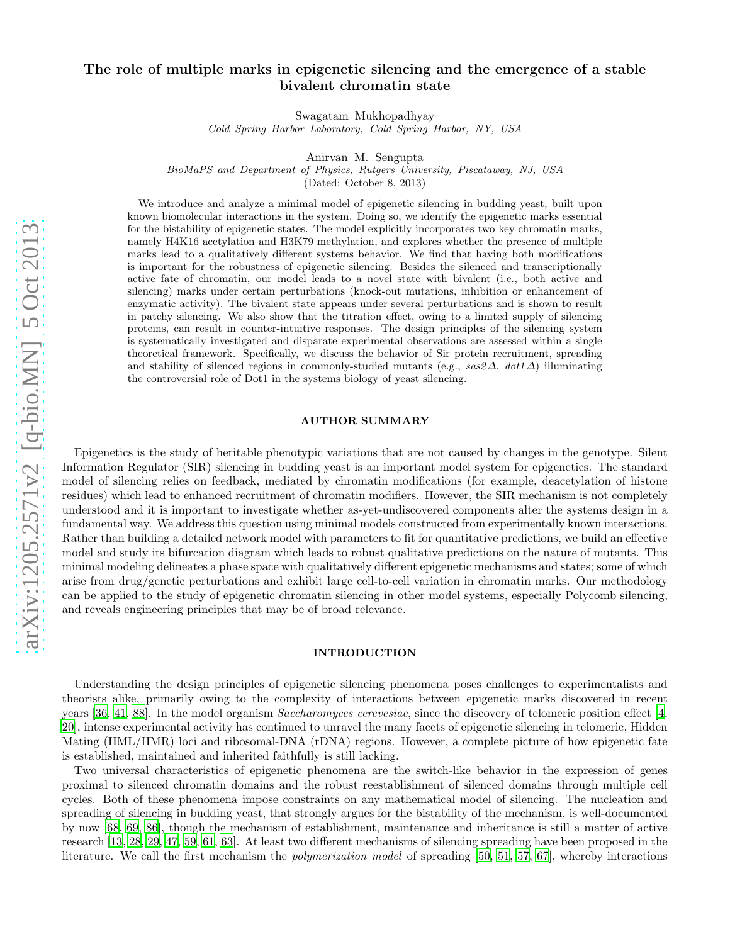# The role of multiple marks in epigenetic silencing and the emergence of a stable bivalent chromatin state

Swagatam Mukhopadhyay

Cold Spring Harbor Laboratory, Cold Spring Harbor, NY, USA

Anirvan M. Sengupta

BioMaPS and Department of Physics, Rutgers University, Piscataway, NJ, USA

(Dated: October 8, 2013)

We introduce and analyze a minimal model of epigenetic silencing in budding yeast, built upon known biomolecular interactions in the system. Doing so, we identify the epigenetic marks essential for the bistability of epigenetic states. The model explicitly incorporates two key chromatin marks, namely H4K16 acetylation and H3K79 methylation, and explores whether the presence of multiple marks lead to a qualitatively different systems behavior. We find that having both modifications is important for the robustness of epigenetic silencing. Besides the silenced and transcriptionally active fate of chromatin, our model leads to a novel state with bivalent (i.e., both active and silencing) marks under certain perturbations (knock-out mutations, inhibition or enhancement of enzymatic activity). The bivalent state appears under several perturbations and is shown to result in patchy silencing. We also show that the titration effect, owing to a limited supply of silencing proteins, can result in counter-intuitive responses. The design principles of the silencing system is systematically investigated and disparate experimental observations are assessed within a single theoretical framework. Specifically, we discuss the behavior of Sir protein recruitment, spreading and stability of silenced regions in commonly-studied mutants (e.g.,  $sas2\Delta$ ,  $dot\Delta$ ) illuminating the controversial role of Dot1 in the systems biology of yeast silencing.

#### AUTHOR SUMMARY

Epigenetics is the study of heritable phenotypic variations that are not caused by changes in the genotype. Silent Information Regulator (SIR) silencing in budding yeast is an important model system for epigenetics. The standard model of silencing relies on feedback, mediated by chromatin modifications (for example, deacetylation of histone residues) which lead to enhanced recruitment of chromatin modifiers. However, the SIR mechanism is not completely understood and it is important to investigate whether as-yet-undiscovered components alter the systems design in a fundamental way. We address this question using minimal models constructed from experimentally known interactions. Rather than building a detailed network model with parameters to fit for quantitative predictions, we build an effective model and study its bifurcation diagram which leads to robust qualitative predictions on the nature of mutants. This minimal modeling delineates a phase space with qualitatively different epigenetic mechanisms and states; some of which arise from drug/genetic perturbations and exhibit large cell-to-cell variation in chromatin marks. Our methodology can be applied to the study of epigenetic chromatin silencing in other model systems, especially Polycomb silencing, and reveals engineering principles that may be of broad relevance.

# INTRODUCTION

Understanding the design principles of epigenetic silencing phenomena poses challenges to experimentalists and theorists alike, primarily owing to the complexity of interactions between epigenetic marks discovered in recent years [\[36](#page-9-0), [41,](#page-10-0) [88\]](#page-11-0). In the model organism Saccharomyces cerevesiae, since the discovery of telomeric position effect [\[4](#page-8-0), [20](#page-9-1)], intense experimental activity has continued to unravel the many facets of epigenetic silencing in telomeric, Hidden Mating (HML/HMR) loci and ribosomal-DNA (rDNA) regions. However, a complete picture of how epigenetic fate is established, maintained and inherited faithfully is still lacking.

Two universal characteristics of epigenetic phenomena are the switch-like behavior in the expression of genes proximal to silenced chromatin domains and the robust reestablishment of silenced domains through multiple cell cycles. Both of these phenomena impose constraints on any mathematical model of silencing. The nucleation and spreading of silencing in budding yeast, that strongly argues for the bistability of the mechanism, is well-documented by now [\[68,](#page-11-1) [69](#page-11-2), [86\]](#page-11-3), though the mechanism of establishment, maintenance and inheritance is still a matter of active research [\[13,](#page-9-2) [28](#page-9-3), [29,](#page-9-4) [47](#page-10-1), [59,](#page-10-2) [61,](#page-10-3) [63\]](#page-10-4). At least two different mechanisms of silencing spreading have been proposed in the literature. We call the first mechanism the polymerization model of spreading [\[50](#page-10-5), [51,](#page-10-6) [57,](#page-10-7) [67\]](#page-11-4), whereby interactions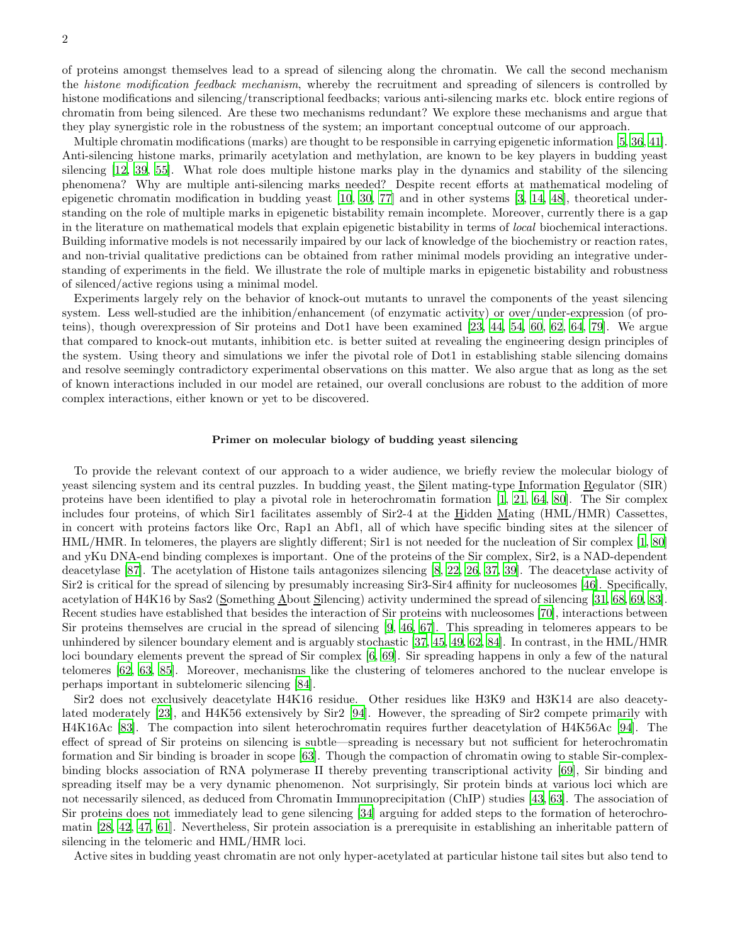of proteins amongst themselves lead to a spread of silencing along the chromatin. We call the second mechanism the *histone modification feedback mechanism*, whereby the recruitment and spreading of silencers is controlled by histone modifications and silencing/transcriptional feedbacks; various anti-silencing marks etc. block entire regions of chromatin from being silenced. Are these two mechanisms redundant? We explore these mechanisms and argue that they play synergistic role in the robustness of the system; an important conceptual outcome of our approach.

Multiple chromatin modifications (marks) are thought to be responsible in carrying epigenetic information [\[5,](#page-8-1) [36,](#page-9-0) [41\]](#page-10-0). Anti-silencing histone marks, primarily acetylation and methylation, are known to be key players in budding yeast silencing [\[12](#page-9-5), [39,](#page-10-8) [55\]](#page-10-9). What role does multiple histone marks play in the dynamics and stability of the silencing phenomena? Why are multiple anti-silencing marks needed? Despite recent efforts at mathematical modeling of epigenetic chromatin modification in budding yeast [\[10](#page-9-6), [30,](#page-9-7) [77\]](#page-11-5) and in other systems [\[3](#page-8-2), [14,](#page-9-8) [48\]](#page-10-10), theoretical understanding on the role of multiple marks in epigenetic bistability remain incomplete. Moreover, currently there is a gap in the literature on mathematical models that explain epigenetic bistability in terms of local biochemical interactions. Building informative models is not necessarily impaired by our lack of knowledge of the biochemistry or reaction rates, and non-trivial qualitative predictions can be obtained from rather minimal models providing an integrative understanding of experiments in the field. We illustrate the role of multiple marks in epigenetic bistability and robustness of silenced/active regions using a minimal model.

Experiments largely rely on the behavior of knock-out mutants to unravel the components of the yeast silencing system. Less well-studied are the inhibition/enhancement (of enzymatic activity) or over/under-expression (of proteins), though overexpression of Sir proteins and Dot1 have been examined [\[23,](#page-9-9) [44,](#page-10-11) [54,](#page-10-12) [60](#page-10-13), [62](#page-10-14), [64,](#page-10-15) [79\]](#page-11-6). We argue that compared to knock-out mutants, inhibition etc. is better suited at revealing the engineering design principles of the system. Using theory and simulations we infer the pivotal role of Dot1 in establishing stable silencing domains and resolve seemingly contradictory experimental observations on this matter. We also argue that as long as the set of known interactions included in our model are retained, our overall conclusions are robust to the addition of more complex interactions, either known or yet to be discovered.

# Primer on molecular biology of budding yeast silencing

To provide the relevant context of our approach to a wider audience, we briefly review the molecular biology of yeast silencing system and its central puzzles. In budding yeast, the Silent mating-type Information Regulator (SIR) proteins have been identified to play a pivotal role in heterochromatin formation [\[1](#page-8-3), [21,](#page-9-10) [64,](#page-10-15) [80\]](#page-11-7). The Sir complex includes four proteins, of which Sir1 facilitates assembly of Sir2-4 at the Hidden Mating (HML/HMR) Cassettes, in concert with proteins factors like Orc, Rap1 an Abf1, all of which have specific binding sites at the silencer of HML/HMR. In telomeres, the players are slightly different; Sir1 is not needed for the nucleation of Sir complex [\[1,](#page-8-3) [80\]](#page-11-7) and yKu DNA-end binding complexes is important. One of the proteins of the Sir complex, Sir2, is a NAD-dependent deacetylase [\[87\]](#page-11-8). The acetylation of Histone tails antagonizes silencing [\[8](#page-9-11), [22](#page-9-12), [26](#page-9-13), [37](#page-9-14), [39](#page-10-8)]. The deacetylase activity of Sir2 is critical for the spread of silencing by presumably increasing Sir3-Sir4 affinity for nucleosomes [\[46\]](#page-10-16). Specifically, acetylation of H4K16 by Sas2 (Something About Silencing) activity undermined the spread of silencing [\[31,](#page-9-15) [68](#page-11-1), [69](#page-11-2), [83\]](#page-11-9). Recent studies have established that besides the interaction of Sir proteins with nucleosomes [\[70](#page-11-10)], interactions between Sir proteins themselves are crucial in the spread of silencing [\[9,](#page-9-16) [46](#page-10-16), [67\]](#page-11-4). This spreading in telomeres appears to be unhindered by silencer boundary element and is arguably stochastic [\[37,](#page-9-14) [45](#page-10-17), [49,](#page-10-18) [62,](#page-10-14) [84](#page-11-11)]. In contrast, in the HML/HMR loci boundary elements prevent the spread of Sir complex [\[6,](#page-8-4) [69\]](#page-11-2). Sir spreading happens in only a few of the natural telomeres [\[62](#page-10-14), [63](#page-10-4), [85](#page-11-12)]. Moreover, mechanisms like the clustering of telomeres anchored to the nuclear envelope is perhaps important in subtelomeric silencing [\[84\]](#page-11-11).

Sir2 does not exclusively deacetylate H4K16 residue. Other residues like H3K9 and H3K14 are also deacetylated moderately [\[23\]](#page-9-9), and H4K56 extensively by Sir2 [\[94\]](#page-12-0). However, the spreading of Sir2 compete primarily with H4K16Ac [\[83](#page-11-9)]. The compaction into silent heterochromatin requires further deacetylation of H4K56Ac [\[94](#page-12-0)]. The effect of spread of Sir proteins on silencing is subtle—spreading is necessary but not sufficient for heterochromatin formation and Sir binding is broader in scope [\[63](#page-10-4)]. Though the compaction of chromatin owing to stable Sir-complexbinding blocks association of RNA polymerase II thereby preventing transcriptional activity [\[69\]](#page-11-2), Sir binding and spreading itself may be a very dynamic phenomenon. Not surprisingly, Sir protein binds at various loci which are not necessarily silenced, as deduced from Chromatin Immunoprecipitation (ChIP) studies [\[43,](#page-10-19) [63\]](#page-10-4). The association of Sir proteins does not immediately lead to gene silencing [\[34](#page-9-17)] arguing for added steps to the formation of heterochromatin [\[28,](#page-9-3) [42,](#page-10-20) [47,](#page-10-1) [61](#page-10-3)]. Nevertheless, Sir protein association is a prerequisite in establishing an inheritable pattern of silencing in the telomeric and HML/HMR loci.

Active sites in budding yeast chromatin are not only hyper-acetylated at particular histone tail sites but also tend to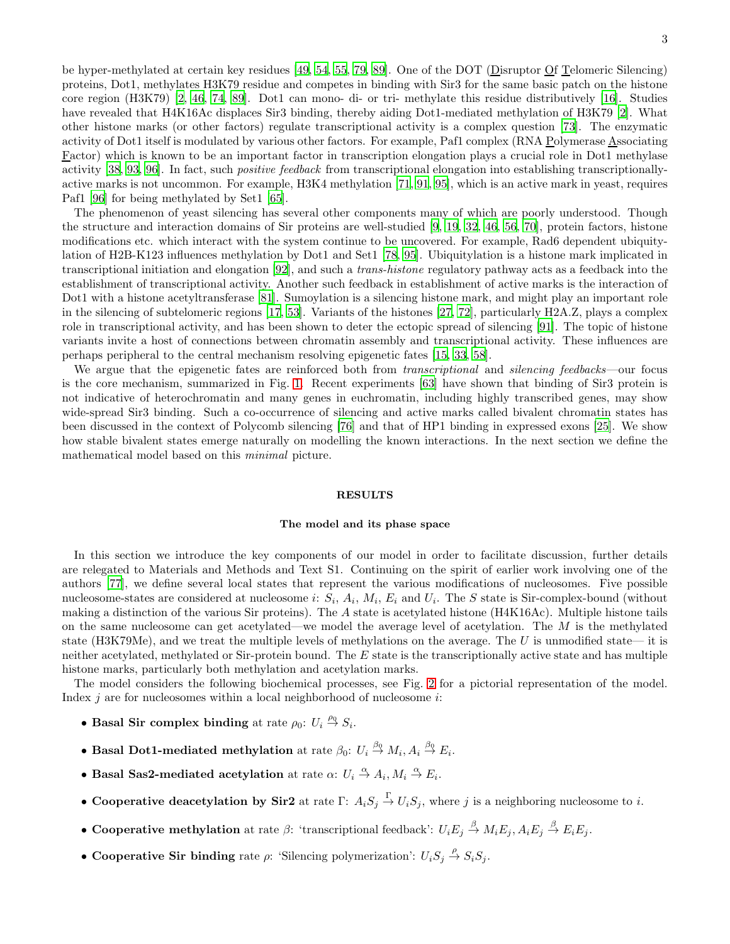be hyper-methylated at certain key residues [\[49](#page-10-18), [54](#page-10-12), [55,](#page-10-9) [79,](#page-11-6) [89\]](#page-11-13). One of the DOT (Disruptor  $\overline{O}$ f Telomeric Silencing) proteins, Dot1, methylates H3K79 residue and competes in binding with Sir3 for the same basic patch on the histone core region (H3K79) [\[2](#page-8-5), [46](#page-10-16), [74,](#page-11-14) [89\]](#page-11-13). Dot1 can mono- di- or tri- methylate this residue distributively [\[16](#page-9-18)]. Studies have revealed that H4K16Ac displaces Sir3 binding, thereby aiding Dot1-mediated methylation of H3K79 [\[2](#page-8-5)]. What other histone marks (or other factors) regulate transcriptional activity is a complex question [\[73\]](#page-11-15). The enzymatic activity of Dot1 itself is modulated by various other factors. For example, Paf1 complex (RNA Polymerase Associating Factor) which is known to be an important factor in transcription elongation plays a crucial role in Dot1 methylase activity [\[38,](#page-9-19) [93,](#page-12-1) [96](#page-12-2)]. In fact, such positive feedback from transcriptional elongation into establishing transcriptionallyactive marks is not uncommon. For example, H3K4 methylation [\[71](#page-11-16), [91,](#page-11-17) [95](#page-12-3)], which is an active mark in yeast, requires Paf1 [\[96\]](#page-12-2) for being methylated by Set1 [\[65\]](#page-10-21).

The phenomenon of yeast silencing has several other components many of which are poorly understood. Though the structure and interaction domains of Sir proteins are well-studied [\[9](#page-9-16), [19,](#page-9-20) [32,](#page-9-21) [46](#page-10-16), [56,](#page-10-22) [70\]](#page-11-10), protein factors, histone modifications etc. which interact with the system continue to be uncovered. For example, Rad6 dependent ubiquitylation of H2B-K123 influences methylation by Dot1 and Set1 [\[78](#page-11-18), [95](#page-12-3)]. Ubiquitylation is a histone mark implicated in transcriptional initiation and elongation [\[92](#page-12-4)], and such a trans-histone regulatory pathway acts as a feedback into the establishment of transcriptional activity. Another such feedback in establishment of active marks is the interaction of Dot1 with a histone acetyltransferase [\[81\]](#page-11-19). Sumoylation is a silencing histone mark, and might play an important role in the silencing of subtelomeric regions [\[17,](#page-9-22) [53](#page-10-23)]. Variants of the histones [\[27,](#page-9-23) [72\]](#page-11-20), particularly H2A.Z, plays a complex role in transcriptional activity, and has been shown to deter the ectopic spread of silencing [\[91\]](#page-11-17). The topic of histone variants invite a host of connections between chromatin assembly and transcriptional activity. These influences are perhaps peripheral to the central mechanism resolving epigenetic fates [\[15](#page-9-24), [33](#page-9-25), [58](#page-10-24)].

We argue that the epigenetic fates are reinforced both from *transcriptional* and *silencing feedbacks*—our focus is the core mechanism, summarized in Fig. [1.](#page-12-5) Recent experiments [\[63\]](#page-10-4) have shown that binding of Sir3 protein is not indicative of heterochromatin and many genes in euchromatin, including highly transcribed genes, may show wide-spread Sir3 binding. Such a co-occurrence of silencing and active marks called bivalent chromatin states has been discussed in the context of Polycomb silencing [\[76](#page-11-21)] and that of HP1 binding in expressed exons [\[25\]](#page-9-26). We show how stable bivalent states emerge naturally on modelling the known interactions. In the next section we define the mathematical model based on this minimal picture.

### RESULTS

#### The model and its phase space

In this section we introduce the key components of our model in order to facilitate discussion, further details are relegated to Materials and Methods and Text S1. Continuing on the spirit of earlier work involving one of the authors [\[77\]](#page-11-5), we define several local states that represent the various modifications of nucleosomes. Five possible nucleosome-states are considered at nucleosome *i*:  $S_i$ ,  $A_i$ ,  $M_i$ ,  $E_i$  and  $U_i$ . The S state is Sir-complex-bound (without making a distinction of the various Sir proteins). The A state is acetylated histone (H4K16Ac). Multiple histone tails on the same nucleosome can get acetylated—we model the average level of acetylation. The  $M$  is the methylated state (H3K79Me), and we treat the multiple levels of methylations on the average. The U is unmodified state— it is neither acetylated, methylated or Sir-protein bound. The  $E$  state is the transcriptionally active state and has multiple histone marks, particularly both methylation and acetylation marks.

The model considers the following biochemical processes, see Fig. [2](#page-13-0) for a pictorial representation of the model. Index  $j$  are for nucleosomes within a local neighborhood of nucleosome  $i$ :

- Basal Sir complex binding at rate  $\rho_0: U_i \stackrel{\rho_0}{\rightarrow} S_i$ .
- Basal Dot1-mediated methylation at rate  $\beta_0: U_i \stackrel{\beta_0}{\rightarrow} M_i, A_i \stackrel{\beta_0}{\rightarrow} E_i$ .
- Basal Sas2-mediated acetylation at rate  $\alpha: U_i \stackrel{\alpha}{\to} A_i, M_i \stackrel{\alpha}{\to} E_i$ .
- Cooperative deacetylation by Sir2 at rate  $\Gamma: A_i S_j \overset{\Gamma}{\to} U_i S_j$ , where j is a neighboring nucleosome to i.
- Cooperative methylation at rate  $\beta$ : 'transcriptional feedback':  $U_i E_j \stackrel{\beta}{\to} M_i E_j$ ,  $A_i E_j \stackrel{\beta}{\to} E_i E_j$ .
- Cooperative Sir binding rate  $\rho$ : 'Silencing polymerization':  $U_i S_j \stackrel{\rho}{\rightarrow} S_i S_j$ .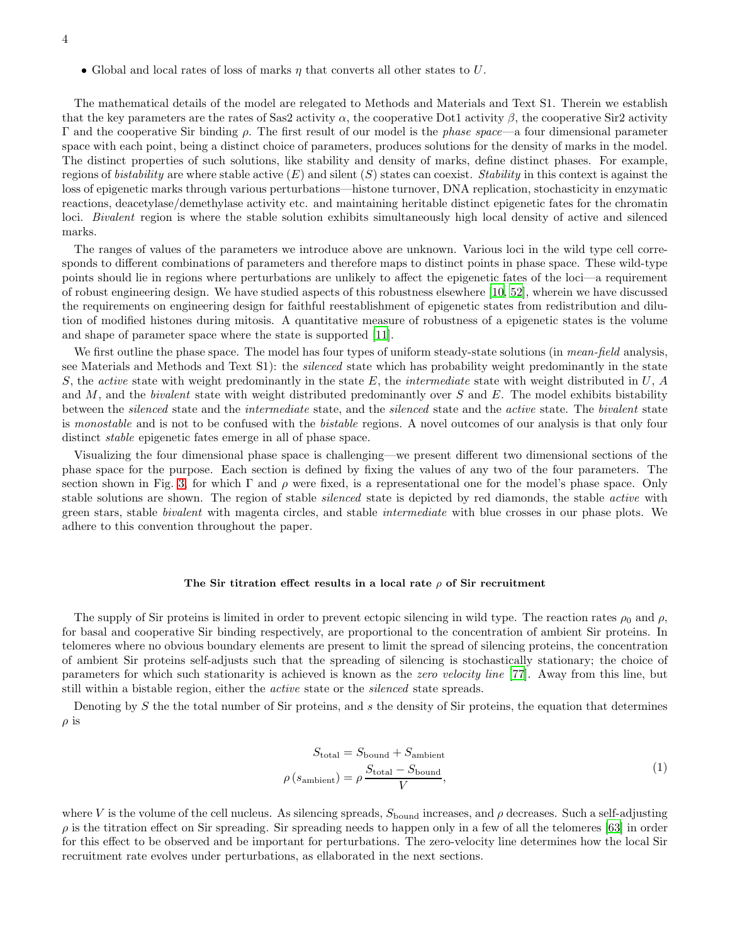• Global and local rates of loss of marks  $\eta$  that converts all other states to U.

The mathematical details of the model are relegated to Methods and Materials and Text S1. Therein we establish that the key parameters are the rates of Sas2 activity  $\alpha$ , the cooperative Dot1 activity  $\beta$ , the cooperative Sir2 activity Γ and the cooperative Sir binding  $ρ$ . The first result of our model is the *phase space*—a four dimensional parameter space with each point, being a distinct choice of parameters, produces solutions for the density of marks in the model. The distinct properties of such solutions, like stability and density of marks, define distinct phases. For example, regions of *bistability* are where stable active  $(E)$  and silent  $(S)$  states can coexist. *Stability* in this context is against the loss of epigenetic marks through various perturbations—histone turnover, DNA replication, stochasticity in enzymatic reactions, deacetylase/demethylase activity etc. and maintaining heritable distinct epigenetic fates for the chromatin loci. Bivalent region is where the stable solution exhibits simultaneously high local density of active and silenced marks.

The ranges of values of the parameters we introduce above are unknown. Various loci in the wild type cell corresponds to different combinations of parameters and therefore maps to distinct points in phase space. These wild-type points should lie in regions where perturbations are unlikely to affect the epigenetic fates of the loci—a requirement of robust engineering design. We have studied aspects of this robustness elsewhere [\[10,](#page-9-6) [52](#page-10-25)], wherein we have discussed the requirements on engineering design for faithful reestablishment of epigenetic states from redistribution and dilution of modified histones during mitosis. A quantitative measure of robustness of a epigenetic states is the volume and shape of parameter space where the state is supported [\[11](#page-9-27)].

We first outline the phase space. The model has four types of uniform steady-state solutions (in mean-field analysis, see Materials and Methods and Text S1): the *silenced* state which has probability weight predominantly in the state S, the active state with weight predominantly in the state E, the intermediate state with weight distributed in  $U$ , A and M, and the *bivalent* state with weight distributed predominantly over S and E. The model exhibits bistability between the silenced state and the intermediate state, and the silenced state and the active state. The bivalent state is monostable and is not to be confused with the bistable regions. A novel outcomes of our analysis is that only four distinct *stable* epigenetic fates emerge in all of phase space.

Visualizing the four dimensional phase space is challenging—we present different two dimensional sections of the phase space for the purpose. Each section is defined by fixing the values of any two of the four parameters. The section shown in Fig. [3,](#page-13-1) for which  $\Gamma$  and  $\rho$  were fixed, is a representational one for the model's phase space. Only stable solutions are shown. The region of stable *silenced* state is depicted by red diamonds, the stable *active* with green stars, stable bivalent with magenta circles, and stable intermediate with blue crosses in our phase plots. We adhere to this convention throughout the paper.

### The Sir titration effect results in a local rate  $\rho$  of Sir recruitment

The supply of Sir proteins is limited in order to prevent ectopic silencing in wild type. The reaction rates  $\rho_0$  and  $\rho$ , for basal and cooperative Sir binding respectively, are proportional to the concentration of ambient Sir proteins. In telomeres where no obvious boundary elements are present to limit the spread of silencing proteins, the concentration of ambient Sir proteins self-adjusts such that the spreading of silencing is stochastically stationary; the choice of parameters for which such stationarity is achieved is known as the zero velocity line [\[77\]](#page-11-5). Away from this line, but still within a bistable region, either the active state or the silenced state spreads.

Denoting by  $S$  the the total number of Sir proteins, and  $s$  the density of Sir proteins, the equation that determines  $\rho$  is

$$
S_{\text{total}} = S_{\text{bound}} + S_{\text{ambient}}
$$

$$
\rho (s_{\text{ambient}}) = \rho \frac{S_{\text{total}} - S_{\text{bound}}}{V},
$$
(1)

<span id="page-3-0"></span>where V is the volume of the cell nucleus. As silencing spreads,  $S_{\text{bound}}$  increases, and  $\rho$  decreases. Such a self-adjusting  $\rho$  is the titration effect on Sir spreading. Sir spreading needs to happen only in a few of all the telomeres [\[63](#page-10-4)] in order for this effect to be observed and be important for perturbations. The zero-velocity line determines how the local Sir recruitment rate evolves under perturbations, as ellaborated in the next sections.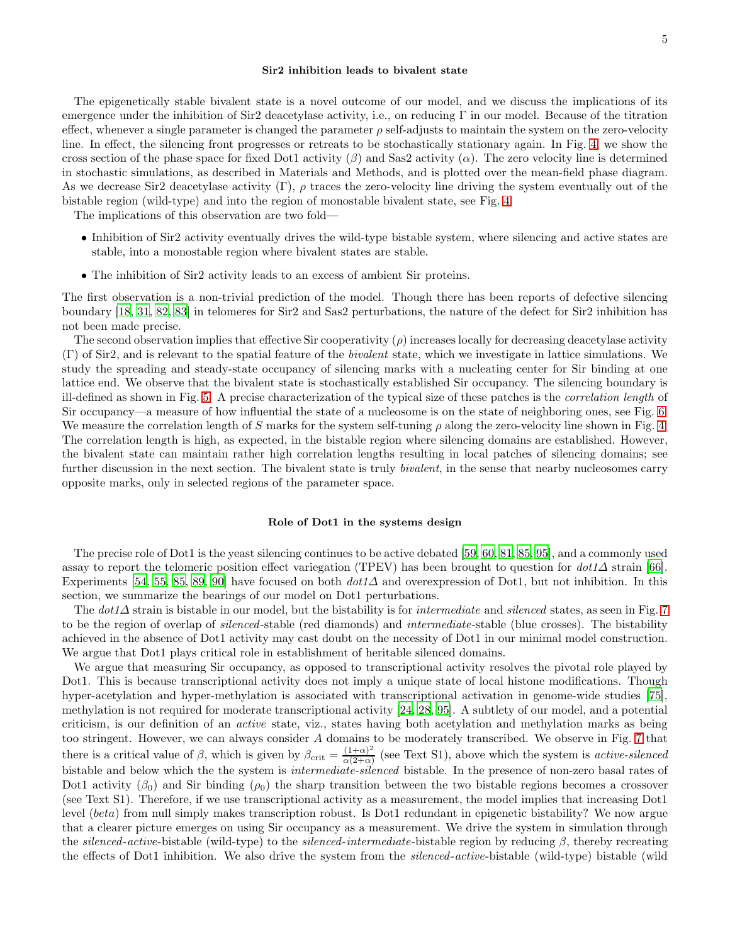#### Sir2 inhibition leads to bivalent state

The epigenetically stable bivalent state is a novel outcome of our model, and we discuss the implications of its emergence under the inhibition of Sir2 deacetylase activity, i.e., on reducing  $\Gamma$  in our model. Because of the titration effect, whenever a single parameter is changed the parameter  $\rho$  self-adjusts to maintain the system on the zero-velocity line. In effect, the silencing front progresses or retreats to be stochastically stationary again. In Fig. [4,](#page-14-0) we show the cross section of the phase space for fixed Dot1 activity  $(\beta)$  and Sas2 activity  $(\alpha)$ . The zero velocity line is determined in stochastic simulations, as described in Materials and Methods, and is plotted over the mean-field phase diagram. As we decrease Sir2 deacetylase activity  $(\Gamma)$ ,  $\rho$  traces the zero-velocity line driving the system eventually out of the bistable region (wild-type) and into the region of monostable bivalent state, see Fig. [4.](#page-14-0)

The implications of this observation are two fold—

- Inhibition of Sir2 activity eventually drives the wild-type bistable system, where silencing and active states are stable, into a monostable region where bivalent states are stable.
- The inhibition of Sir2 activity leads to an excess of ambient Sir proteins.

The first observation is a non-trivial prediction of the model. Though there has been reports of defective silencing boundary [\[18,](#page-9-28) [31](#page-9-15), [82](#page-11-22), [83\]](#page-11-9) in telomeres for Sir2 and Sas2 perturbations, the nature of the defect for Sir2 inhibition has not been made precise.

The second observation implies that effective Sir cooperativity  $(\rho)$  increases locally for decreasing deacetylase activity (Γ) of Sir2, and is relevant to the spatial feature of the bivalent state, which we investigate in lattice simulations. We study the spreading and steady-state occupancy of silencing marks with a nucleating center for Sir binding at one lattice end. We observe that the bivalent state is stochastically established Sir occupancy. The silencing boundary is ill-defined as shown in Fig. [5.](#page-15-0) A precise characterization of the typical size of these patches is the correlation length of Sir occupancy—a measure of how influential the state of a nucleosome is on the state of neighboring ones, see Fig. [6.](#page-16-0) We measure the correlation length of S marks for the system self-tuning  $\rho$  along the zero-velocity line shown in Fig. [4.](#page-14-0) The correlation length is high, as expected, in the bistable region where silencing domains are established. However, the bivalent state can maintain rather high correlation lengths resulting in local patches of silencing domains; see further discussion in the next section. The bivalent state is truly *bivalent*, in the sense that nearby nucleosomes carry opposite marks, only in selected regions of the parameter space.

#### Role of Dot1 in the systems design

The precise role of Dot1 is the yeast silencing continues to be active debated [\[59,](#page-10-2) [60,](#page-10-13) [81,](#page-11-19) [85,](#page-11-12) [95\]](#page-12-3), and a commonly used assay to report the telomeric position effect variegation (TPEV) has been brought to question for  $dot1\Delta$  strain [\[66\]](#page-11-23). Experiments [\[54,](#page-10-12) [55](#page-10-9), [85,](#page-11-12) [89,](#page-11-13) [90\]](#page-11-24) have focused on both  $dot1\Delta$  and overexpression of Dot1, but not inhibition. In this section, we summarize the bearings of our model on Dot1 perturbations.

The  $dot1\Delta$  strain is bistable in our model, but the bistability is for *intermediate* and *silenced* states, as seen in Fig. [7](#page-16-1) to be the region of overlap of silenced-stable (red diamonds) and intermediate-stable (blue crosses). The bistability achieved in the absence of Dot1 activity may cast doubt on the necessity of Dot1 in our minimal model construction. We argue that Dot1 plays critical role in establishment of heritable silenced domains.

We argue that measuring Sir occupancy, as opposed to transcriptional activity resolves the pivotal role played by Dot1. This is because transcriptional activity does not imply a unique state of local histone modifications. Though hyper-acetylation and hyper-methylation is associated with transcriptional activation in genome-wide studies [\[75\]](#page-11-25), methylation is not required for moderate transcriptional activity [\[24,](#page-9-29) [28](#page-9-3), [95\]](#page-12-3). A subtlety of our model, and a potential criticism, is our definition of an active state, viz., states having both acetylation and methylation marks as being too stringent. However, we can always consider A domains to be moderately transcribed. We observe in Fig. [7](#page-16-1) that there is a critical value of  $\beta$ , which is given by  $\beta_{\rm crit} = \frac{(1+\alpha)^2}{\alpha(2+\alpha)}$  $\frac{(1+\alpha)}{\alpha(2+\alpha)}$  (see Text S1), above which the system is *active-silenced* bistable and below which the the system is *intermediate-silenced* bistable. In the presence of non-zero basal rates of Dot1 activity  $(\beta_0)$  and Sir binding  $(\rho_0)$  the sharp transition between the two bistable regions becomes a crossover (see Text S1). Therefore, if we use transcriptional activity as a measurement, the model implies that increasing Dot1 level (beta) from null simply makes transcription robust. Is Dot1 redundant in epigenetic bistability? We now argue that a clearer picture emerges on using Sir occupancy as a measurement. We drive the system in simulation through the silenced-active-bistable (wild-type) to the silenced-intermediate-bistable region by reducing  $\beta$ , thereby recreating the effects of Dot1 inhibition. We also drive the system from the silenced-active-bistable (wild-type) bistable (wild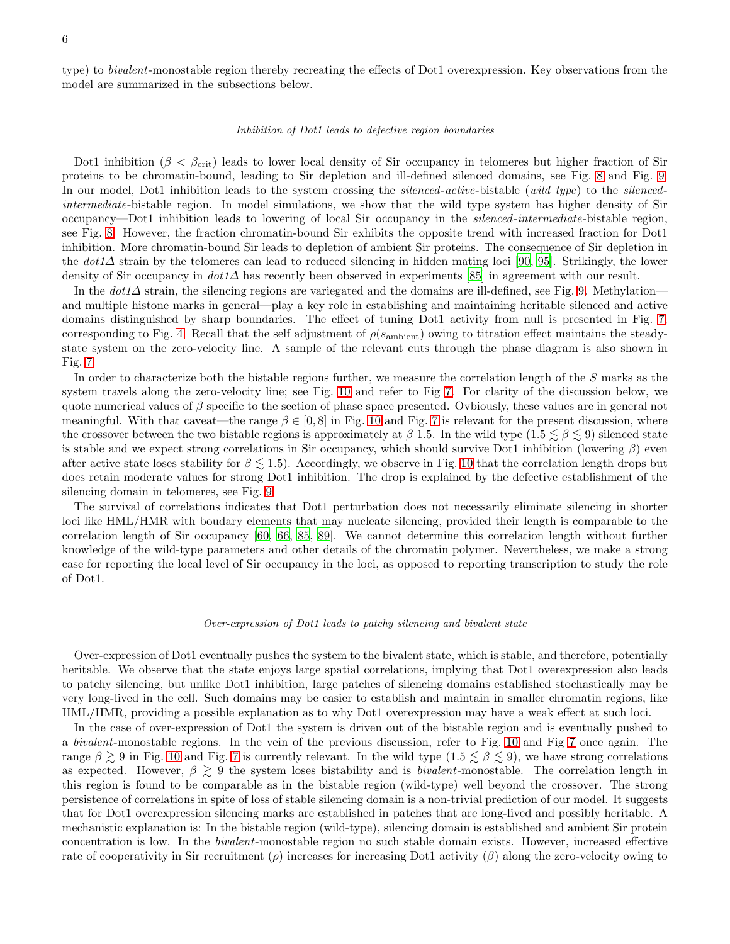6

type) to *bivalent*-monostable region thereby recreating the effects of Dot1 overexpression. Key observations from the model are summarized in the subsections below.

# Inhibition of Dot1 leads to defective region boundaries

Dot1 inhibition ( $\beta < \beta_{\rm crit}$ ) leads to lower local density of Sir occupancy in telomeres but higher fraction of Sir proteins to be chromatin-bound, leading to Sir depletion and ill-defined silenced domains, see Fig. [8](#page-17-0) and Fig. [9.](#page-18-0) In our model, Dot1 inhibition leads to the system crossing the *silenced-active-bistable (wild type)* to the *silenced*intermediate-bistable region. In model simulations, we show that the wild type system has higher density of Sir occupancy—Dot1 inhibition leads to lowering of local Sir occupancy in the silenced-intermediate-bistable region, see Fig. [8.](#page-17-0) However, the fraction chromatin-bound Sir exhibits the opposite trend with increased fraction for Dot1 inhibition. More chromatin-bound Sir leads to depletion of ambient Sir proteins. The consequence of Sir depletion in the dot1∆ strain by the telomeres can lead to reduced silencing in hidden mating loci [\[90,](#page-11-24) [95](#page-12-3)]. Strikingly, the lower density of Sir occupancy in dot1∆ has recently been observed in experiments [\[85\]](#page-11-12) in agreement with our result.

In the  $dot1\Delta$  strain, the silencing regions are variegated and the domains are ill-defined, see Fig. [9.](#page-18-0) Methylation and multiple histone marks in general—play a key role in establishing and maintaining heritable silenced and active domains distinguished by sharp boundaries. The effect of tuning Dot1 activity from null is presented in Fig. [7,](#page-16-1) corresponding to Fig. [4.](#page-14-0) Recall that the self adjustment of  $\rho(s_{\text{ambient}})$  owing to titration effect maintains the steadystate system on the zero-velocity line. A sample of the relevant cuts through the phase diagram is also shown in Fig. [7.](#page-16-1)

In order to characterize both the bistable regions further, we measure the correlation length of the S marks as the system travels along the zero-velocity line; see Fig. [10](#page-19-0) and refer to Fig [7.](#page-16-1) For clarity of the discussion below, we quote numerical values of  $\beta$  specific to the section of phase space presented. Ovbiously, these values are in general not meaningful. With that caveat—the range  $\beta \in [0, 8]$  in Fig. [10](#page-19-0) and Fig. [7](#page-16-1) is relevant for the present discussion, where the crossover between the two bistable regions is approximately at  $\beta$  1.5. In the wild type (1.5  $\leq \beta \leq 9$ ) silenced state is stable and we expect strong correlations in Sir occupancy, which should survive Dot1 inhibition (lowering  $\beta$ ) even after active state loses stability for  $\beta \lesssim 1.5$ ). Accordingly, we observe in Fig. [10](#page-19-0) that the correlation length drops but does retain moderate values for strong Dot1 inhibition. The drop is explained by the defective establishment of the silencing domain in telomeres, see Fig. [9.](#page-18-0)

The survival of correlations indicates that Dot1 perturbation does not necessarily eliminate silencing in shorter loci like HML/HMR with boudary elements that may nucleate silencing, provided their length is comparable to the correlation length of Sir occupancy [\[60,](#page-10-13) [66,](#page-11-23) [85,](#page-11-12) [89\]](#page-11-13). We cannot determine this correlation length without further knowledge of the wild-type parameters and other details of the chromatin polymer. Nevertheless, we make a strong case for reporting the local level of Sir occupancy in the loci, as opposed to reporting transcription to study the role of Dot1.

## Over-expression of Dot1 leads to patchy silencing and bivalent state

Over-expression of Dot1 eventually pushes the system to the bivalent state, which is stable, and therefore, potentially heritable. We observe that the state enjoys large spatial correlations, implying that Dot1 overexpression also leads to patchy silencing, but unlike Dot1 inhibition, large patches of silencing domains established stochastically may be very long-lived in the cell. Such domains may be easier to establish and maintain in smaller chromatin regions, like HML/HMR, providing a possible explanation as to why Dot1 overexpression may have a weak effect at such loci.

In the case of over-expression of Dot1 the system is driven out of the bistable region and is eventually pushed to a bivalent-monostable regions. In the vein of the previous discussion, refer to Fig. [10](#page-19-0) and Fig [7](#page-16-1) once again. The range  $\beta \gtrsim 9$  in Fig. [10](#page-19-0) and Fig. [7](#page-16-1) is currently relevant. In the wild type  $(1.5 \lesssim \beta \lesssim 9)$ , we have strong correlations as expected. However,  $\beta \geq 9$  the system loses bistability and is *bivalent*-monostable. The correlation length in this region is found to be comparable as in the bistable region (wild-type) well beyond the crossover. The strong persistence of correlations in spite of loss of stable silencing domain is a non-trivial prediction of our model. It suggests that for Dot1 overexpression silencing marks are established in patches that are long-lived and possibly heritable. A mechanistic explanation is: In the bistable region (wild-type), silencing domain is established and ambient Sir protein concentration is low. In the bivalent-monostable region no such stable domain exists. However, increased effective rate of cooperativity in Sir recruitment ( $\rho$ ) increases for increasing Dot1 activity ( $\beta$ ) along the zero-velocity owing to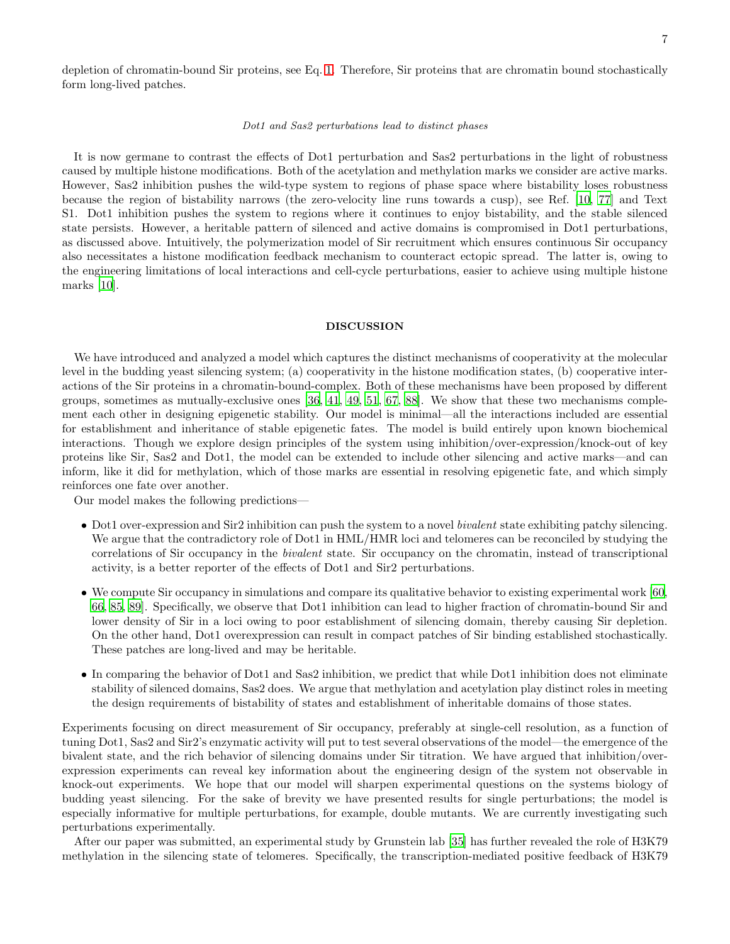depletion of chromatin-bound Sir proteins, see Eq. [1.](#page-3-0) Therefore, Sir proteins that are chromatin bound stochastically form long-lived patches.

# Dot1 and Sas2 perturbations lead to distinct phases

It is now germane to contrast the effects of Dot1 perturbation and Sas2 perturbations in the light of robustness caused by multiple histone modifications. Both of the acetylation and methylation marks we consider are active marks. However, Sas2 inhibition pushes the wild-type system to regions of phase space where bistability loses robustness because the region of bistability narrows (the zero-velocity line runs towards a cusp), see Ref. [\[10](#page-9-6), [77](#page-11-5)] and Text S1. Dot1 inhibition pushes the system to regions where it continues to enjoy bistability, and the stable silenced state persists. However, a heritable pattern of silenced and active domains is compromised in Dot1 perturbations, as discussed above. Intuitively, the polymerization model of Sir recruitment which ensures continuous Sir occupancy also necessitates a histone modification feedback mechanism to counteract ectopic spread. The latter is, owing to the engineering limitations of local interactions and cell-cycle perturbations, easier to achieve using multiple histone marks [\[10\]](#page-9-6).

# DISCUSSION

We have introduced and analyzed a model which captures the distinct mechanisms of cooperativity at the molecular level in the budding yeast silencing system; (a) cooperativity in the histone modification states, (b) cooperative interactions of the Sir proteins in a chromatin-bound-complex. Both of these mechanisms have been proposed by different groups, sometimes as mutually-exclusive ones [\[36](#page-9-0), [41,](#page-10-0) [49](#page-10-18), [51,](#page-10-6) [67,](#page-11-4) [88](#page-11-0)]. We show that these two mechanisms complement each other in designing epigenetic stability. Our model is minimal—all the interactions included are essential for establishment and inheritance of stable epigenetic fates. The model is build entirely upon known biochemical interactions. Though we explore design principles of the system using inhibition/over-expression/knock-out of key proteins like Sir, Sas2 and Dot1, the model can be extended to include other silencing and active marks—and can inform, like it did for methylation, which of those marks are essential in resolving epigenetic fate, and which simply reinforces one fate over another.

Our model makes the following predictions—

- Dot1 over-expression and Sir2 inhibition can push the system to a novel *bivalent* state exhibiting patchy silencing. We argue that the contradictory role of Dot1 in HML/HMR loci and telomeres can be reconciled by studying the correlations of Sir occupancy in the bivalent state. Sir occupancy on the chromatin, instead of transcriptional activity, is a better reporter of the effects of Dot1 and Sir2 perturbations.
- We compute Sir occupancy in simulations and compare its qualitative behavior to existing experimental work [\[60,](#page-10-13) [66,](#page-11-23) [85,](#page-11-12) [89\]](#page-11-13). Specifically, we observe that Dot1 inhibition can lead to higher fraction of chromatin-bound Sir and lower density of Sir in a loci owing to poor establishment of silencing domain, thereby causing Sir depletion. On the other hand, Dot1 overexpression can result in compact patches of Sir binding established stochastically. These patches are long-lived and may be heritable.
- In comparing the behavior of Dot1 and Sas2 inhibition, we predict that while Dot1 inhibition does not eliminate stability of silenced domains, Sas2 does. We argue that methylation and acetylation play distinct roles in meeting the design requirements of bistability of states and establishment of inheritable domains of those states.

Experiments focusing on direct measurement of Sir occupancy, preferably at single-cell resolution, as a function of tuning Dot1, Sas2 and Sir2's enzymatic activity will put to test several observations of the model—the emergence of the bivalent state, and the rich behavior of silencing domains under Sir titration. We have argued that inhibition/overexpression experiments can reveal key information about the engineering design of the system not observable in knock-out experiments. We hope that our model will sharpen experimental questions on the systems biology of budding yeast silencing. For the sake of brevity we have presented results for single perturbations; the model is especially informative for multiple perturbations, for example, double mutants. We are currently investigating such perturbations experimentally.

After our paper was submitted, an experimental study by Grunstein lab [\[35\]](#page-9-30) has further revealed the role of H3K79 methylation in the silencing state of telomeres. Specifically, the transcription-mediated positive feedback of H3K79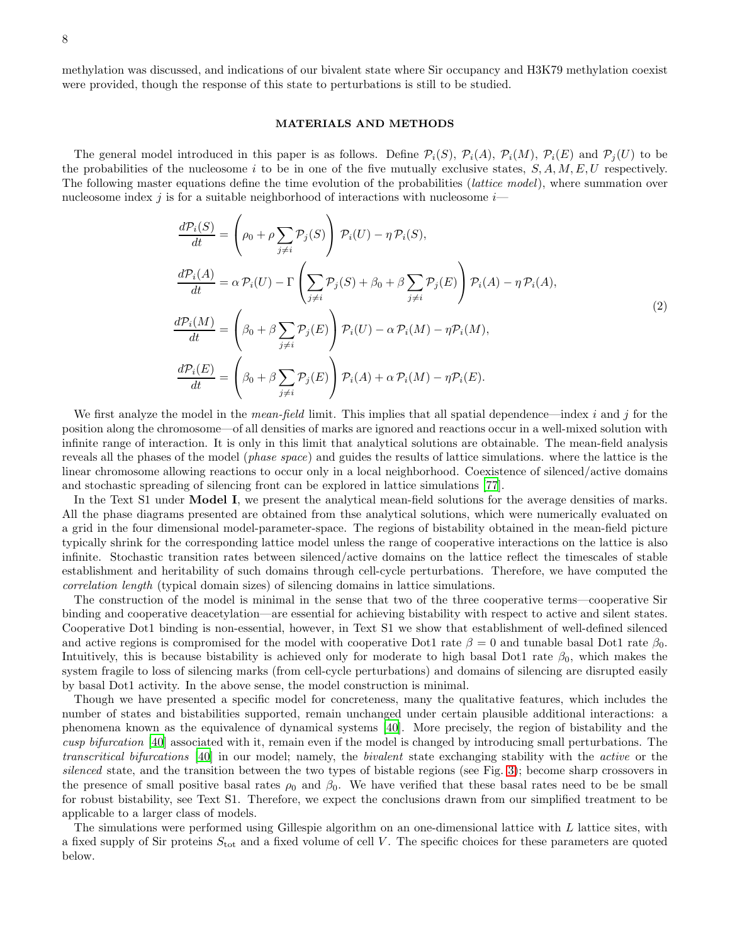methylation was discussed, and indications of our bivalent state where Sir occupancy and H3K79 methylation coexist were provided, though the response of this state to perturbations is still to be studied.

## MATERIALS AND METHODS

The general model introduced in this paper is as follows. Define  $\mathcal{P}_i(S)$ ,  $\mathcal{P}_i(A)$ ,  $\mathcal{P}_i(M)$ ,  $\mathcal{P}_i(E)$  and  $\mathcal{P}_j(U)$  to be the probabilities of the nucleosome i to be in one of the five mutually exclusive states,  $S, A, M, E, U$  respectively. The following master equations define the time evolution of the probabilities (lattice model), where summation over nucleosome index  $j$  is for a suitable neighborhood of interactions with nucleosome  $i-$ 

$$
\frac{d\mathcal{P}_i(S)}{dt} = \left(\rho_0 + \rho \sum_{j \neq i} \mathcal{P}_j(S)\right) \mathcal{P}_i(U) - \eta \mathcal{P}_i(S),
$$
\n
$$
\frac{d\mathcal{P}_i(A)}{dt} = \alpha \mathcal{P}_i(U) - \Gamma \left(\sum_{j \neq i} \mathcal{P}_j(S) + \beta_0 + \beta \sum_{j \neq i} \mathcal{P}_j(E)\right) \mathcal{P}_i(A) - \eta \mathcal{P}_i(A),
$$
\n
$$
\frac{d\mathcal{P}_i(M)}{dt} = \left(\beta_0 + \beta \sum_{j \neq i} \mathcal{P}_j(E)\right) \mathcal{P}_i(U) - \alpha \mathcal{P}_i(M) - \eta \mathcal{P}_i(M),
$$
\n
$$
\frac{d\mathcal{P}_i(E)}{dt} = \left(\beta_0 + \beta \sum_{j \neq i} \mathcal{P}_j(E)\right) \mathcal{P}_i(A) + \alpha \mathcal{P}_i(M) - \eta \mathcal{P}_i(E).
$$
\n(2)

We first analyze the model in the *mean-field* limit. This implies that all spatial dependence—index i and j for the position along the chromosome—of all densities of marks are ignored and reactions occur in a well-mixed solution with infinite range of interaction. It is only in this limit that analytical solutions are obtainable. The mean-field analysis reveals all the phases of the model (*phase space*) and guides the results of lattice simulations. where the lattice is the linear chromosome allowing reactions to occur only in a local neighborhood. Coexistence of silenced/active domains and stochastic spreading of silencing front can be explored in lattice simulations [\[77\]](#page-11-5).

In the Text S1 under **Model I**, we present the analytical mean-field solutions for the average densities of marks. All the phase diagrams presented are obtained from thse analytical solutions, which were numerically evaluated on a grid in the four dimensional model-parameter-space. The regions of bistability obtained in the mean-field picture typically shrink for the corresponding lattice model unless the range of cooperative interactions on the lattice is also infinite. Stochastic transition rates between silenced/active domains on the lattice reflect the timescales of stable establishment and heritability of such domains through cell-cycle perturbations. Therefore, we have computed the correlation length (typical domain sizes) of silencing domains in lattice simulations.

The construction of the model is minimal in the sense that two of the three cooperative terms—cooperative Sir binding and cooperative deacetylation—are essential for achieving bistability with respect to active and silent states. Cooperative Dot1 binding is non-essential, however, in Text S1 we show that establishment of well-defined silenced and active regions is compromised for the model with cooperative Dot1 rate  $\beta = 0$  and tunable basal Dot1 rate  $\beta_0$ . Intuitively, this is because bistability is achieved only for moderate to high basal Dot1 rate  $\beta_0$ , which makes the system fragile to loss of silencing marks (from cell-cycle perturbations) and domains of silencing are disrupted easily by basal Dot1 activity. In the above sense, the model construction is minimal.

Though we have presented a specific model for concreteness, many the qualitative features, which includes the number of states and bistabilities supported, remain unchanged under certain plausible additional interactions: a phenomena known as the equivalence of dynamical systems [\[40](#page-10-26)]. More precisely, the region of bistability and the cusp bifurcation [\[40](#page-10-26)] associated with it, remain even if the model is changed by introducing small perturbations. The transcritical bifurcations [\[40](#page-10-26)] in our model; namely, the bivalent state exchanging stability with the active or the silenced state, and the transition between the two types of bistable regions (see Fig. [3\)](#page-13-1); become sharp crossovers in the presence of small positive basal rates  $\rho_0$  and  $\beta_0$ . We have verified that these basal rates need to be be small for robust bistability, see Text S1. Therefore, we expect the conclusions drawn from our simplified treatment to be applicable to a larger class of models.

The simulations were performed using Gillespie algorithm on an one-dimensional lattice with L lattice sites, with a fixed supply of Sir proteins  $S_{\text{tot}}$  and a fixed volume of cell V. The specific choices for these parameters are quoted below.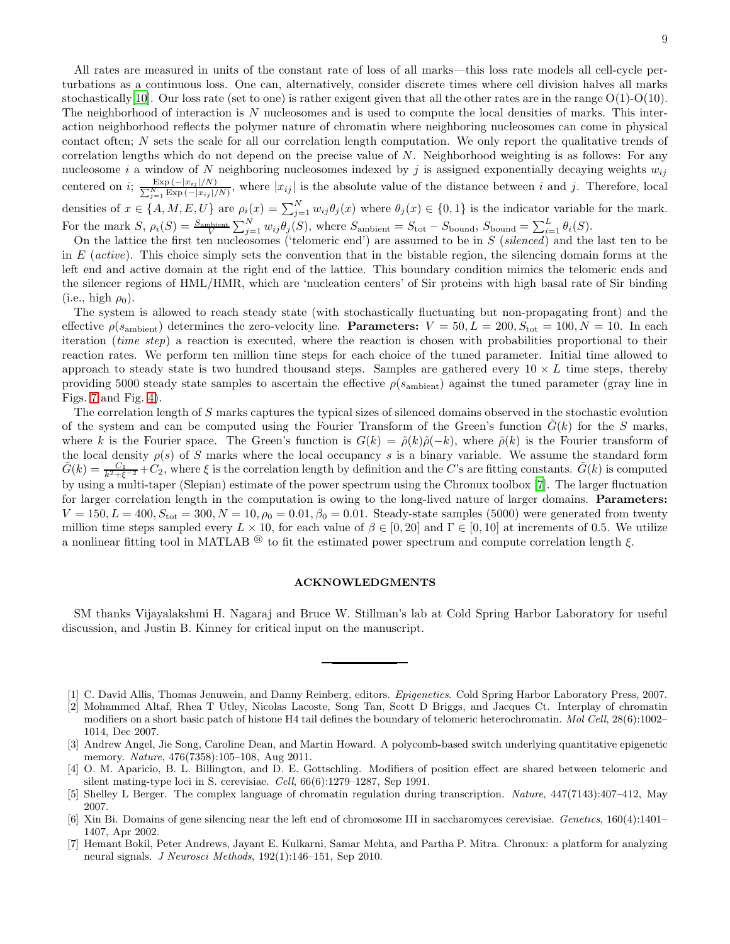All rates are measured in units of the constant rate of loss of all marks—this loss rate models all cell-cycle perturbations as a continuous loss. One can, alternatively, consider discrete times where cell division halves all marks stochastically[\[10\]](#page-9-6). Our loss rate (set to one) is rather exigent given that all the other rates are in the range  $O(1)-O(10)$ . The neighborhood of interaction is N nucleosomes and is used to compute the local densities of marks. This interaction neighborhood reflects the polymer nature of chromatin where neighboring nucleosomes can come in physical contact often; N sets the scale for all our correlation length computation. We only report the qualitative trends of correlation lengths which do not depend on the precise value of N. Neighborhood weighting is as follows: For any nucleosome i a window of N neighboring nucleosomes indexed by j is assigned exponentially decaying weights  $w_{ij}$ centered on i;  $\frac{\text{Exp}(-|x_{ij}|/N)}{\sum_{j=1}^{N} \text{Exp}(-|x_{ij}|/N)}$ , where  $|x_{ij}|$  is the absolute value of the distance between i and j. Therefore, local densities of  $x \in \{A, M, E, U\}$  are  $\rho_i(x) = \sum_{j=1}^N w_{ij} \theta_j(x)$  where  $\theta_j(x) \in \{0, 1\}$  is the indicator variable for the mark. For the mark  $S$ ,  $\rho_i(S) = \frac{S_{\text{ambient}}}{V} \sum_{j=1}^{N} w_{ij} \theta_j(S)$ , where  $S_{\text{ambient}} = S_{\text{tot}} - S_{\text{bound}}$ ,  $S_{\text{bound}} = \sum_{i=1}^{L} \theta_i(S)$ .

On the lattice the first ten nucleosomes ('telomeric end') are assumed to be in  $S$  (silenced) and the last ten to be in  $E$  (active). This choice simply sets the convention that in the bistable region, the silencing domain forms at the left end and active domain at the right end of the lattice. This boundary condition mimics the telomeric ends and the silencer regions of HML/HMR, which are 'nucleation centers' of Sir proteins with high basal rate of Sir binding (i.e., high  $\rho_0$ ).

The system is allowed to reach steady state (with stochastically fluctuating but non-propagating front) and the effective  $\rho(s_{\text{ambient}})$  determines the zero-velocity line. **Parameters:**  $V = 50, L = 200, S_{\text{tot}} = 100, N = 10$ . In each iteration (time step) a reaction is executed, where the reaction is chosen with probabilities proportional to their reaction rates. We perform ten million time steps for each choice of the tuned parameter. Initial time allowed to approach to steady state is two hundred thousand steps. Samples are gathered every  $10 \times L$  time steps, thereby providing 5000 steady state samples to ascertain the effective  $\rho(s_{\text{ambient}})$  against the tuned parameter (gray line in Figs. [7](#page-16-1) and Fig. [4\)](#page-14-0).

The correlation length of S marks captures the typical sizes of silenced domains observed in the stochastic evolution of the system and can be computed using the Fourier Transform of the Green's function  $\tilde{G}(k)$  for the S marks, where k is the Fourier space. The Green's function is  $G(k) = \tilde{\rho}(k)\tilde{\rho}(-k)$ , where  $\tilde{\rho}(k)$  is the Fourier transform of the local density  $\rho(s)$  of S marks where the local occupancy s is a binary variable. We assume the standard form  $\tilde{G}(k) = \frac{C_1}{k^2 + \xi^{-2}} + C_2$ , where  $\xi$  is the correlation length by definition and the C's are fitting constants.  $\tilde{G}(k)$  is computed by using a multi-taper (Slepian) estimate of the power spectrum using the Chronux toolbox [\[7\]](#page-8-6). The larger fluctuation for larger correlation length in the computation is owing to the long-lived nature of larger domains. Parameters:  $V = 150, L = 400, S_{\text{tot}} = 300, N = 10, \rho_0 = 0.01, \beta_0 = 0.01$ . Steady-state samples (5000) were generated from twenty million time steps sampled every  $L \times 10$ , for each value of  $\beta \in [0, 20]$  and  $\Gamma \in [0, 10]$  at increments of 0.5. We utilize a nonlinear fitting tool in MATLAB  $\mathcal{B}$  to fit the estimated power spectrum and compute correlation length  $\xi$ .

### ACKNOWLEDGMENTS

SM thanks Vijayalakshmi H. Nagaraj and Bruce W. Stillman's lab at Cold Spring Harbor Laboratory for useful discussion, and Justin B. Kinney for critical input on the manuscript.

<span id="page-8-3"></span><sup>[1]</sup> C. David Allis, Thomas Jenuwein, and Danny Reinberg, editors. Epigenetics. Cold Spring Harbor Laboratory Press, 2007.

<span id="page-8-5"></span><sup>[2]</sup> Mohammed Altaf, Rhea T Utley, Nicolas Lacoste, Song Tan, Scott D Briggs, and Jacques Ct. Interplay of chromatin modifiers on a short basic patch of histone H4 tail defines the boundary of telomeric heterochromatin. Mol Cell, 28(6):1002– 1014, Dec 2007.

<span id="page-8-2"></span><sup>[3]</sup> Andrew Angel, Jie Song, Caroline Dean, and Martin Howard. A polycomb-based switch underlying quantitative epigenetic memory. *Nature*, 476(7358):105–108, Aug 2011.

<span id="page-8-0"></span><sup>[4]</sup> O. M. Aparicio, B. L. Billington, and D. E. Gottschling. Modifiers of position effect are shared between telomeric and silent mating-type loci in S. cerevisiae. Cell, 66(6):1279–1287, Sep 1991.

<span id="page-8-1"></span><sup>[5]</sup> Shelley L Berger. The complex language of chromatin regulation during transcription. Nature, 447(7143):407–412, May 2007.

<span id="page-8-4"></span><sup>[6]</sup> Xin Bi. Domains of gene silencing near the left end of chromosome III in saccharomyces cerevisiae. Genetics, 160(4):1401-1407, Apr 2002.

<span id="page-8-6"></span><sup>[7]</sup> Hemant Bokil, Peter Andrews, Jayant E. Kulkarni, Samar Mehta, and Partha P. Mitra. Chronux: a platform for analyzing neural signals. J Neurosci Methods, 192(1):146–151, Sep 2010.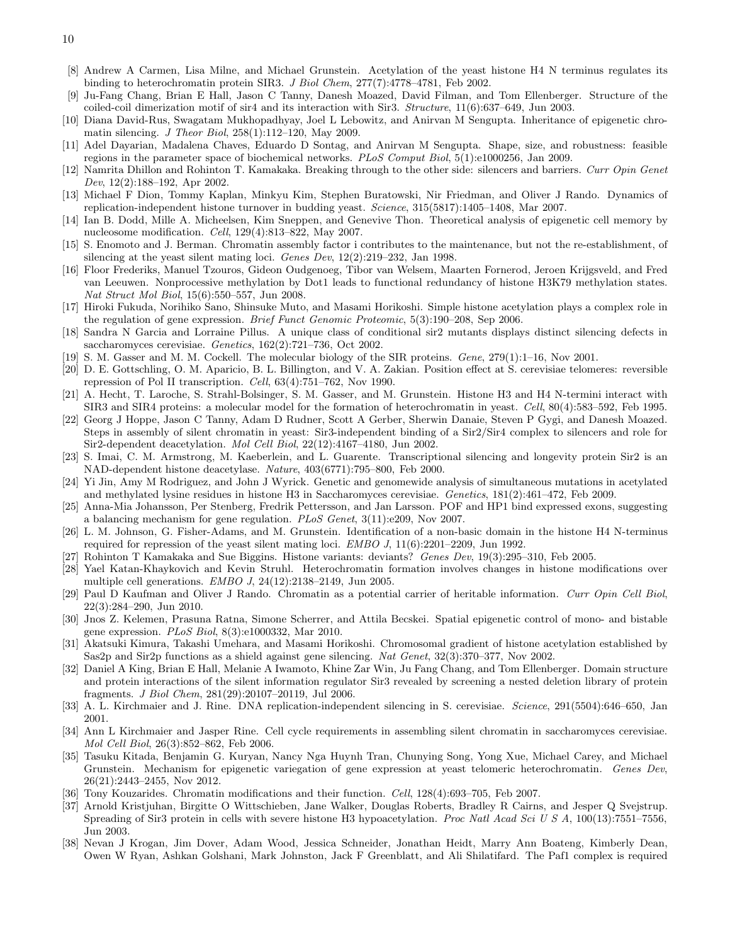- <span id="page-9-11"></span>[8] Andrew A Carmen, Lisa Milne, and Michael Grunstein. Acetylation of the yeast histone H4 N terminus regulates its binding to heterochromatin protein SIR3. J Biol Chem, 277(7):4778–4781, Feb 2002.
- <span id="page-9-16"></span>[9] Ju-Fang Chang, Brian E Hall, Jason C Tanny, Danesh Moazed, David Filman, and Tom Ellenberger. Structure of the coiled-coil dimerization motif of sir4 and its interaction with Sir3. Structure, 11(6):637–649, Jun 2003.
- <span id="page-9-6"></span>[10] Diana David-Rus, Swagatam Mukhopadhyay, Joel L Lebowitz, and Anirvan M Sengupta. Inheritance of epigenetic chromatin silencing. J Theor Biol, 258(1):112–120, May 2009.
- <span id="page-9-27"></span>[11] Adel Dayarian, Madalena Chaves, Eduardo D Sontag, and Anirvan M Sengupta. Shape, size, and robustness: feasible regions in the parameter space of biochemical networks. PLoS Comput Biol, 5(1):e1000256, Jan 2009.
- <span id="page-9-5"></span>[12] Namrita Dhillon and Rohinton T. Kamakaka. Breaking through to the other side: silencers and barriers. Curr Opin Genet Dev, 12(2):188–192, Apr 2002.
- <span id="page-9-2"></span>[13] Michael F Dion, Tommy Kaplan, Minkyu Kim, Stephen Buratowski, Nir Friedman, and Oliver J Rando. Dynamics of replication-independent histone turnover in budding yeast. Science, 315(5817):1405–1408, Mar 2007.
- <span id="page-9-8"></span>[14] Ian B. Dodd, Mille A. Micheelsen, Kim Sneppen, and Genevive Thon. Theoretical analysis of epigenetic cell memory by nucleosome modification. Cell, 129(4):813–822, May 2007.
- <span id="page-9-24"></span>[15] S. Enomoto and J. Berman. Chromatin assembly factor i contributes to the maintenance, but not the re-establishment, of silencing at the yeast silent mating loci. Genes Dev, 12(2):219–232, Jan 1998.
- <span id="page-9-18"></span>[16] Floor Frederiks, Manuel Tzouros, Gideon Oudgenoeg, Tibor van Welsem, Maarten Fornerod, Jeroen Krijgsveld, and Fred van Leeuwen. Nonprocessive methylation by Dot1 leads to functional redundancy of histone H3K79 methylation states. Nat Struct Mol Biol, 15(6):550–557, Jun 2008.
- <span id="page-9-22"></span>[17] Hiroki Fukuda, Norihiko Sano, Shinsuke Muto, and Masami Horikoshi. Simple histone acetylation plays a complex role in the regulation of gene expression. Brief Funct Genomic Proteomic, 5(3):190–208, Sep 2006.
- <span id="page-9-28"></span>[18] Sandra N Garcia and Lorraine Pillus. A unique class of conditional sir2 mutants displays distinct silencing defects in saccharomyces cerevisiae. Genetics, 162(2):721–736, Oct 2002.
- <span id="page-9-20"></span>[19] S. M. Gasser and M. M. Cockell. The molecular biology of the SIR proteins. Gene, 279(1):1–16, Nov 2001.
- <span id="page-9-1"></span>[20] D. E. Gottschling, O. M. Aparicio, B. L. Billington, and V. A. Zakian. Position effect at S. cerevisiae telomeres: reversible repression of Pol II transcription. Cell, 63(4):751–762, Nov 1990.
- <span id="page-9-10"></span>[21] A. Hecht, T. Laroche, S. Strahl-Bolsinger, S. M. Gasser, and M. Grunstein. Histone H3 and H4 N-termini interact with SIR3 and SIR4 proteins: a molecular model for the formation of heterochromatin in yeast. Cell, 80(4):583–592, Feb 1995.
- <span id="page-9-12"></span>[22] Georg J Hoppe, Jason C Tanny, Adam D Rudner, Scott A Gerber, Sherwin Danaie, Steven P Gygi, and Danesh Moazed. Steps in assembly of silent chromatin in yeast: Sir3-independent binding of a Sir2/Sir4 complex to silencers and role for Sir2-dependent deacetylation. Mol Cell Biol, 22(12):4167–4180, Jun 2002.
- <span id="page-9-9"></span>[23] S. Imai, C. M. Armstrong, M. Kaeberlein, and L. Guarente. Transcriptional silencing and longevity protein Sir2 is an NAD-dependent histone deacetylase. Nature, 403(6771):795–800, Feb 2000.
- <span id="page-9-29"></span>[24] Yi Jin, Amy M Rodriguez, and John J Wyrick. Genetic and genomewide analysis of simultaneous mutations in acetylated and methylated lysine residues in histone H3 in Saccharomyces cerevisiae. Genetics, 181(2):461–472, Feb 2009.
- <span id="page-9-26"></span>[25] Anna-Mia Johansson, Per Stenberg, Fredrik Pettersson, and Jan Larsson. POF and HP1 bind expressed exons, suggesting a balancing mechanism for gene regulation. PLoS Genet, 3(11):e209, Nov 2007.
- <span id="page-9-13"></span>[26] L. M. Johnson, G. Fisher-Adams, and M. Grunstein. Identification of a non-basic domain in the histone H4 N-terminus required for repression of the yeast silent mating loci. EMBO J, 11(6):2201–2209, Jun 1992.
- <span id="page-9-23"></span>[27] Rohinton T Kamakaka and Sue Biggins. Histone variants: deviants? Genes Dev, 19(3):295–310, Feb 2005.
- <span id="page-9-3"></span>[28] Yael Katan-Khaykovich and Kevin Struhl. Heterochromatin formation involves changes in histone modifications over multiple cell generations. EMBO J, 24(12):2138–2149, Jun 2005.
- <span id="page-9-4"></span>[29] Paul D Kaufman and Oliver J Rando. Chromatin as a potential carrier of heritable information. Curr Opin Cell Biol, 22(3):284–290, Jun 2010.
- <span id="page-9-7"></span>[30] Jnos Z. Kelemen, Prasuna Ratna, Simone Scherrer, and Attila Becskei. Spatial epigenetic control of mono- and bistable gene expression. PLoS Biol, 8(3):e1000332, Mar 2010.
- <span id="page-9-15"></span>[31] Akatsuki Kimura, Takashi Umehara, and Masami Horikoshi. Chromosomal gradient of histone acetylation established by Sas2p and Sir2p functions as a shield against gene silencing. Nat Genet, 32(3):370–377, Nov 2002.
- <span id="page-9-21"></span>[32] Daniel A King, Brian E Hall, Melanie A Iwamoto, Khine Zar Win, Ju Fang Chang, and Tom Ellenberger. Domain structure and protein interactions of the silent information regulator Sir3 revealed by screening a nested deletion library of protein fragments. J Biol Chem, 281(29):20107–20119, Jul 2006.
- <span id="page-9-25"></span>[33] A. L. Kirchmaier and J. Rine. DNA replication-independent silencing in S. cerevisiae. Science, 291(5504):646–650, Jan 2001.
- <span id="page-9-17"></span>[34] Ann L Kirchmaier and Jasper Rine. Cell cycle requirements in assembling silent chromatin in saccharomyces cerevisiae. Mol Cell Biol, 26(3):852–862, Feb 2006.
- <span id="page-9-30"></span>[35] Tasuku Kitada, Benjamin G. Kuryan, Nancy Nga Huynh Tran, Chunying Song, Yong Xue, Michael Carey, and Michael Grunstein. Mechanism for epigenetic variegation of gene expression at yeast telomeric heterochromatin. Genes Dev, 26(21):2443–2455, Nov 2012.
- <span id="page-9-0"></span>[36] Tony Kouzarides. Chromatin modifications and their function. Cell, 128(4):693–705, Feb 2007.
- <span id="page-9-14"></span>[37] Arnold Kristjuhan, Birgitte O Wittschieben, Jane Walker, Douglas Roberts, Bradley R Cairns, and Jesper Q Svejstrup. Spreading of Sir3 protein in cells with severe histone H3 hypoacetylation. Proc Natl Acad Sci U S A, 100(13):7551–7556, Jun 2003.
- <span id="page-9-19"></span>[38] Nevan J Krogan, Jim Dover, Adam Wood, Jessica Schneider, Jonathan Heidt, Marry Ann Boateng, Kimberly Dean, Owen W Ryan, Ashkan Golshani, Mark Johnston, Jack F Greenblatt, and Ali Shilatifard. The Paf1 complex is required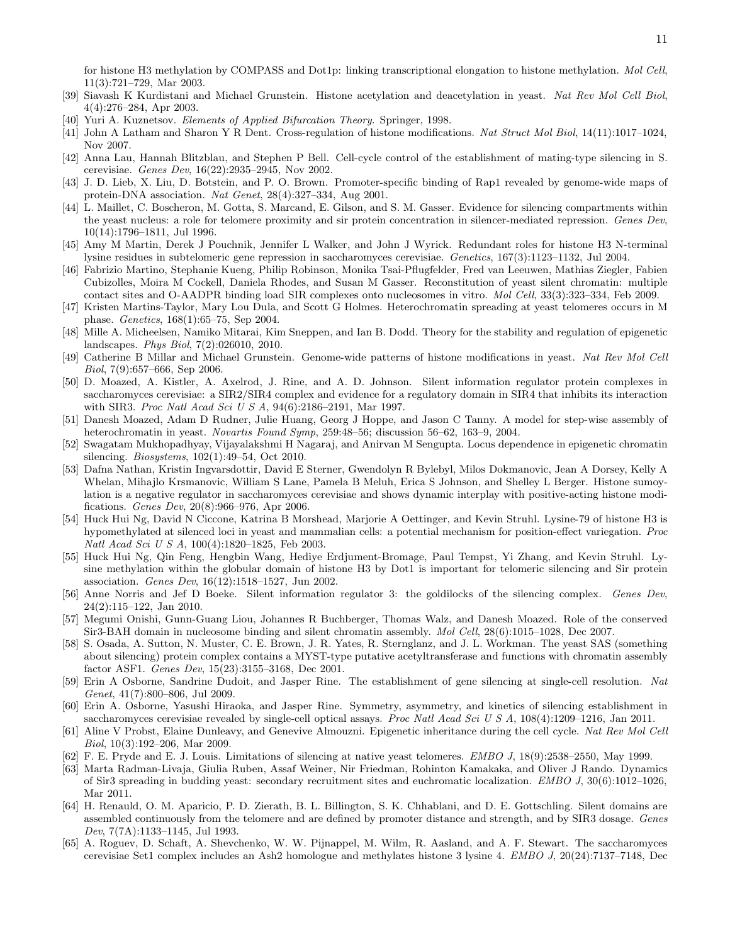for histone H3 methylation by COMPASS and Dot1p: linking transcriptional elongation to histone methylation. Mol Cell, 11(3):721–729, Mar 2003.

- <span id="page-10-8"></span>[39] Siavash K Kurdistani and Michael Grunstein. Histone acetylation and deacetylation in yeast. Nat Rev Mol Cell Biol, 4(4):276–284, Apr 2003.
- <span id="page-10-26"></span>[40] Yuri A. Kuznetsov. Elements of Applied Bifurcation Theory. Springer, 1998.
- <span id="page-10-0"></span>[41] John A Latham and Sharon Y R Dent. Cross-regulation of histone modifications. Nat Struct Mol Biol, 14(11):1017–1024, Nov 2007.
- <span id="page-10-20"></span>[42] Anna Lau, Hannah Blitzblau, and Stephen P Bell. Cell-cycle control of the establishment of mating-type silencing in S. cerevisiae. Genes Dev, 16(22):2935–2945, Nov 2002.
- <span id="page-10-19"></span>[43] J. D. Lieb, X. Liu, D. Botstein, and P. O. Brown. Promoter-specific binding of Rap1 revealed by genome-wide maps of protein-DNA association. Nat Genet, 28(4):327–334, Aug 2001.
- <span id="page-10-11"></span>[44] L. Maillet, C. Boscheron, M. Gotta, S. Marcand, E. Gilson, and S. M. Gasser. Evidence for silencing compartments within the yeast nucleus: a role for telomere proximity and sir protein concentration in silencer-mediated repression. Genes Dev, 10(14):1796–1811, Jul 1996.
- <span id="page-10-17"></span>[45] Amy M Martin, Derek J Pouchnik, Jennifer L Walker, and John J Wyrick. Redundant roles for histone H3 N-terminal lysine residues in subtelomeric gene repression in saccharomyces cerevisiae. Genetics, 167(3):1123–1132, Jul 2004.
- <span id="page-10-16"></span>[46] Fabrizio Martino, Stephanie Kueng, Philip Robinson, Monika Tsai-Pflugfelder, Fred van Leeuwen, Mathias Ziegler, Fabien Cubizolles, Moira M Cockell, Daniela Rhodes, and Susan M Gasser. Reconstitution of yeast silent chromatin: multiple contact sites and O-AADPR binding load SIR complexes onto nucleosomes in vitro. Mol Cell, 33(3):323–334, Feb 2009.
- <span id="page-10-1"></span>[47] Kristen Martins-Taylor, Mary Lou Dula, and Scott G Holmes. Heterochromatin spreading at yeast telomeres occurs in M phase. Genetics, 168(1):65–75, Sep 2004.
- <span id="page-10-10"></span>[48] Mille A. Micheelsen, Namiko Mitarai, Kim Sneppen, and Ian B. Dodd. Theory for the stability and regulation of epigenetic landscapes. Phys Biol, 7(2):026010, 2010.
- <span id="page-10-18"></span>[49] Catherine B Millar and Michael Grunstein. Genome-wide patterns of histone modifications in yeast. Nat Rev Mol Cell Biol, 7(9):657–666, Sep 2006.
- <span id="page-10-5"></span>[50] D. Moazed, A. Kistler, A. Axelrod, J. Rine, and A. D. Johnson. Silent information regulator protein complexes in saccharomyces cerevisiae: a SIR2/SIR4 complex and evidence for a regulatory domain in SIR4 that inhibits its interaction with SIR3. Proc Natl Acad Sci U S A, 94(6):2186-2191, Mar 1997.
- <span id="page-10-6"></span>[51] Danesh Moazed, Adam D Rudner, Julie Huang, Georg J Hoppe, and Jason C Tanny. A model for step-wise assembly of heterochromatin in yeast. Novartis Found Symp, 259:48–56; discussion 56–62, 163–9, 2004.
- <span id="page-10-25"></span>[52] Swagatam Mukhopadhyay, Vijayalakshmi H Nagaraj, and Anirvan M Sengupta. Locus dependence in epigenetic chromatin silencing. Biosystems, 102(1):49–54, Oct 2010.
- <span id="page-10-23"></span>[53] Dafna Nathan, Kristin Ingvarsdottir, David E Sterner, Gwendolyn R Bylebyl, Milos Dokmanovic, Jean A Dorsey, Kelly A Whelan, Mihajlo Krsmanovic, William S Lane, Pamela B Meluh, Erica S Johnson, and Shelley L Berger. Histone sumoylation is a negative regulator in saccharomyces cerevisiae and shows dynamic interplay with positive-acting histone modifications. Genes Dev, 20(8):966–976, Apr 2006.
- <span id="page-10-12"></span>[54] Huck Hui Ng, David N Ciccone, Katrina B Morshead, Marjorie A Oettinger, and Kevin Struhl. Lysine-79 of histone H3 is hypomethylated at silenced loci in yeast and mammalian cells: a potential mechanism for position-effect variegation. Proc Natl Acad Sci U S A, 100(4):1820–1825, Feb 2003.
- <span id="page-10-9"></span>[55] Huck Hui Ng, Qin Feng, Hengbin Wang, Hediye Erdjument-Bromage, Paul Tempst, Yi Zhang, and Kevin Struhl. Lysine methylation within the globular domain of histone H3 by Dot1 is important for telomeric silencing and Sir protein association. Genes Dev, 16(12):1518–1527, Jun 2002.
- <span id="page-10-22"></span>[56] Anne Norris and Jef D Boeke. Silent information regulator 3: the goldilocks of the silencing complex. Genes Dev, 24(2):115–122, Jan 2010.
- <span id="page-10-7"></span>[57] Megumi Onishi, Gunn-Guang Liou, Johannes R Buchberger, Thomas Walz, and Danesh Moazed. Role of the conserved Sir3-BAH domain in nucleosome binding and silent chromatin assembly. Mol Cell, 28(6):1015–1028, Dec 2007.
- <span id="page-10-24"></span>[58] S. Osada, A. Sutton, N. Muster, C. E. Brown, J. R. Yates, R. Sternglanz, and J. L. Workman. The yeast SAS (something about silencing) protein complex contains a MYST-type putative acetyltransferase and functions with chromatin assembly factor ASF1. Genes Dev, 15(23):3155–3168, Dec 2001.
- <span id="page-10-2"></span>[59] Erin A Osborne, Sandrine Dudoit, and Jasper Rine. The establishment of gene silencing at single-cell resolution. Nat Genet, 41(7):800–806, Jul 2009.
- <span id="page-10-13"></span>[60] Erin A. Osborne, Yasushi Hiraoka, and Jasper Rine. Symmetry, asymmetry, and kinetics of silencing establishment in saccharomyces cerevisiae revealed by single-cell optical assays. Proc Natl Acad Sci U S A,  $108(4):1209-1216$ , Jan 2011.
- <span id="page-10-3"></span>[61] Aline V Probst, Elaine Dunleavy, and Genevive Almouzni. Epigenetic inheritance during the cell cycle. Nat Rev Mol Cell Biol, 10(3):192–206, Mar 2009.
- <span id="page-10-14"></span>[62] F. E. Pryde and E. J. Louis. Limitations of silencing at native yeast telomeres.  $EMBO$  J,  $18(9)$ :2538–2550, May 1999.
- <span id="page-10-4"></span>[63] Marta Radman-Livaja, Giulia Ruben, Assaf Weiner, Nir Friedman, Rohinton Kamakaka, and Oliver J Rando. Dynamics of Sir3 spreading in budding yeast: secondary recruitment sites and euchromatic localization. EMBO J, 30(6):1012–1026, Mar 2011.
- <span id="page-10-15"></span>[64] H. Renauld, O. M. Aparicio, P. D. Zierath, B. L. Billington, S. K. Chhablani, and D. E. Gottschling. Silent domains are assembled continuously from the telomere and are defined by promoter distance and strength, and by SIR3 dosage. Genes Dev, 7(7A):1133–1145, Jul 1993.
- <span id="page-10-21"></span>[65] A. Roguev, D. Schaft, A. Shevchenko, W. W. Pijnappel, M. Wilm, R. Aasland, and A. F. Stewart. The saccharomyces cerevisiae Set1 complex includes an Ash2 homologue and methylates histone 3 lysine 4. EMBO J, 20(24):7137–7148, Dec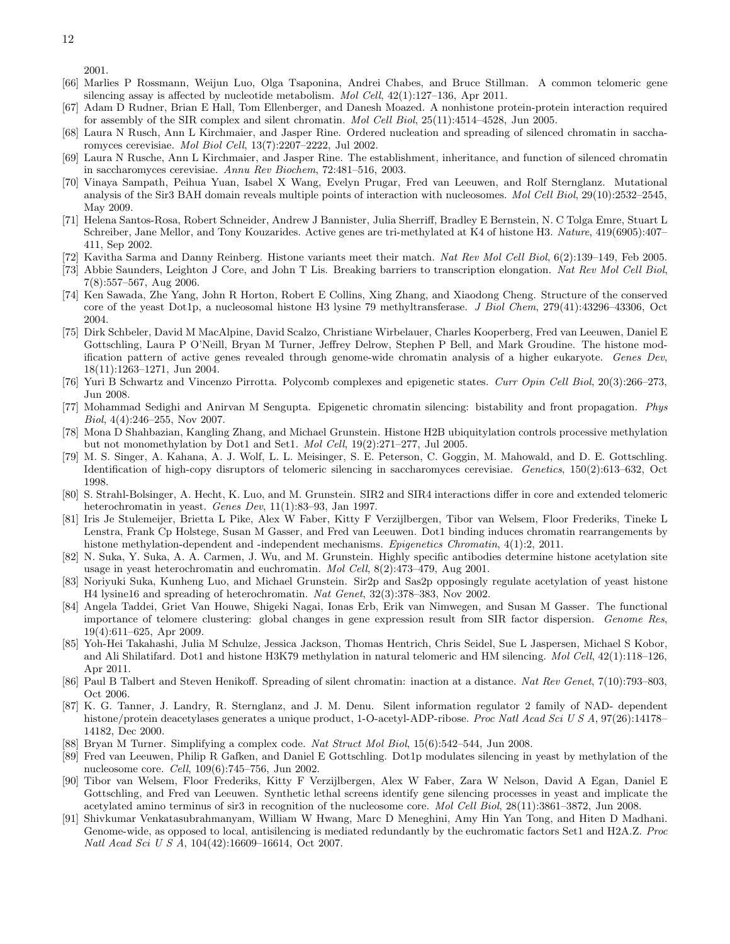12

2001.

- <span id="page-11-23"></span>[66] Marlies P Rossmann, Weijun Luo, Olga Tsaponina, Andrei Chabes, and Bruce Stillman. A common telomeric gene silencing assay is affected by nucleotide metabolism. *Mol Cell*,  $42(1):127-136$ , Apr 2011.
- <span id="page-11-4"></span>[67] Adam D Rudner, Brian E Hall, Tom Ellenberger, and Danesh Moazed. A nonhistone protein-protein interaction required for assembly of the SIR complex and silent chromatin. Mol Cell Biol, 25(11):4514–4528, Jun 2005.
- <span id="page-11-1"></span>[68] Laura N Rusch, Ann L Kirchmaier, and Jasper Rine. Ordered nucleation and spreading of silenced chromatin in saccharomyces cerevisiae. Mol Biol Cell, 13(7):2207–2222, Jul 2002.
- <span id="page-11-2"></span>[69] Laura N Rusche, Ann L Kirchmaier, and Jasper Rine. The establishment, inheritance, and function of silenced chromatin in saccharomyces cerevisiae. Annu Rev Biochem, 72:481–516, 2003.
- <span id="page-11-10"></span>[70] Vinaya Sampath, Peihua Yuan, Isabel X Wang, Evelyn Prugar, Fred van Leeuwen, and Rolf Sternglanz. Mutational analysis of the Sir3 BAH domain reveals multiple points of interaction with nucleosomes. Mol Cell Biol, 29(10):2532–2545, May 2009.
- <span id="page-11-16"></span>[71] Helena Santos-Rosa, Robert Schneider, Andrew J Bannister, Julia Sherriff, Bradley E Bernstein, N. C Tolga Emre, Stuart L Schreiber, Jane Mellor, and Tony Kouzarides. Active genes are tri-methylated at K4 of histone H3. Nature, 419(6905):407– 411, Sep 2002.
- <span id="page-11-20"></span>[72] Kavitha Sarma and Danny Reinberg. Histone variants meet their match. Nat Rev Mol Cell Biol, 6(2):139–149, Feb 2005.
- <span id="page-11-15"></span>[73] Abbie Saunders, Leighton J Core, and John T Lis. Breaking barriers to transcription elongation. Nat Rev Mol Cell Biol, 7(8):557–567, Aug 2006.
- <span id="page-11-14"></span>[74] Ken Sawada, Zhe Yang, John R Horton, Robert E Collins, Xing Zhang, and Xiaodong Cheng. Structure of the conserved core of the yeast Dot1p, a nucleosomal histone H3 lysine 79 methyltransferase. J Biol Chem, 279(41):43296–43306, Oct 2004.
- <span id="page-11-25"></span>[75] Dirk Schbeler, David M MacAlpine, David Scalzo, Christiane Wirbelauer, Charles Kooperberg, Fred van Leeuwen, Daniel E Gottschling, Laura P O'Neill, Bryan M Turner, Jeffrey Delrow, Stephen P Bell, and Mark Groudine. The histone modification pattern of active genes revealed through genome-wide chromatin analysis of a higher eukaryote. Genes Dev, 18(11):1263–1271, Jun 2004.
- <span id="page-11-21"></span>[76] Yuri B Schwartz and Vincenzo Pirrotta. Polycomb complexes and epigenetic states. Curr Opin Cell Biol, 20(3):266–273, Jun 2008.
- <span id="page-11-5"></span>[77] Mohammad Sedighi and Anirvan M Sengupta. Epigenetic chromatin silencing: bistability and front propagation. Phys Biol, 4(4):246–255, Nov 2007.
- <span id="page-11-18"></span>[78] Mona D Shahbazian, Kangling Zhang, and Michael Grunstein. Histone H2B ubiquitylation controls processive methylation but not monomethylation by Dot1 and Set1. Mol Cell, 19(2):271–277, Jul 2005.
- <span id="page-11-6"></span>[79] M. S. Singer, A. Kahana, A. J. Wolf, L. L. Meisinger, S. E. Peterson, C. Goggin, M. Mahowald, and D. E. Gottschling. Identification of high-copy disruptors of telomeric silencing in saccharomyces cerevisiae. Genetics, 150(2):613–632, Oct 1998.
- <span id="page-11-7"></span>[80] S. Strahl-Bolsinger, A. Hecht, K. Luo, and M. Grunstein. SIR2 and SIR4 interactions differ in core and extended telomeric heterochromatin in yeast. Genes Dev, 11(1):83–93, Jan 1997.
- <span id="page-11-19"></span>[81] Iris Je Stulemeijer, Brietta L Pike, Alex W Faber, Kitty F Verzijlbergen, Tibor van Welsem, Floor Frederiks, Tineke L Lenstra, Frank Cp Holstege, Susan M Gasser, and Fred van Leeuwen. Dot1 binding induces chromatin rearrangements by histone methylation-dependent and -independent mechanisms. Epigenetics Chromatin, 4(1):2, 2011.
- <span id="page-11-22"></span>[82] N. Suka, Y. Suka, A. A. Carmen, J. Wu, and M. Grunstein. Highly specific antibodies determine histone acetylation site usage in yeast heterochromatin and euchromatin. Mol Cell, 8(2):473–479, Aug 2001.
- <span id="page-11-9"></span>[83] Noriyuki Suka, Kunheng Luo, and Michael Grunstein. Sir2p and Sas2p opposingly regulate acetylation of yeast histone H4 lysine16 and spreading of heterochromatin. Nat Genet, 32(3):378–383, Nov 2002.
- <span id="page-11-11"></span>[84] Angela Taddei, Griet Van Houwe, Shigeki Nagai, Ionas Erb, Erik van Nimwegen, and Susan M Gasser. The functional importance of telomere clustering: global changes in gene expression result from SIR factor dispersion. Genome Res, 19(4):611–625, Apr 2009.
- <span id="page-11-12"></span>[85] Yoh-Hei Takahashi, Julia M Schulze, Jessica Jackson, Thomas Hentrich, Chris Seidel, Sue L Jaspersen, Michael S Kobor, and Ali Shilatifard. Dot1 and histone H3K79 methylation in natural telomeric and HM silencing. Mol Cell, 42(1):118–126, Apr 2011.
- <span id="page-11-3"></span>[86] Paul B Talbert and Steven Henikoff. Spreading of silent chromatin: inaction at a distance. Nat Rev Genet, 7(10):793–803, Oct 2006.
- <span id="page-11-8"></span>[87] K. G. Tanner, J. Landry, R. Sternglanz, and J. M. Denu. Silent information regulator 2 family of NAD- dependent histone/protein deacetylases generates a unique product, 1-O-acetyl-ADP-ribose. Proc Natl Acad Sci U S A, 97(26):14178– 14182, Dec 2000.
- <span id="page-11-0"></span>[88] Bryan M Turner. Simplifying a complex code. Nat Struct Mol Biol, 15(6):542–544, Jun 2008.
- <span id="page-11-13"></span>[89] Fred van Leeuwen, Philip R Gafken, and Daniel E Gottschling. Dot1p modulates silencing in yeast by methylation of the nucleosome core. Cell, 109(6):745–756, Jun 2002.
- <span id="page-11-24"></span>[90] Tibor van Welsem, Floor Frederiks, Kitty F Verzijlbergen, Alex W Faber, Zara W Nelson, David A Egan, Daniel E Gottschling, and Fred van Leeuwen. Synthetic lethal screens identify gene silencing processes in yeast and implicate the acetylated amino terminus of sir3 in recognition of the nucleosome core. Mol Cell Biol, 28(11):3861–3872, Jun 2008.
- <span id="page-11-17"></span>[91] Shivkumar Venkatasubrahmanyam, William W Hwang, Marc D Meneghini, Amy Hin Yan Tong, and Hiten D Madhani. Genome-wide, as opposed to local, antisilencing is mediated redundantly by the euchromatic factors Set1 and H2A.Z. Proc Natl Acad Sci U S A, 104(42):16609–16614, Oct 2007.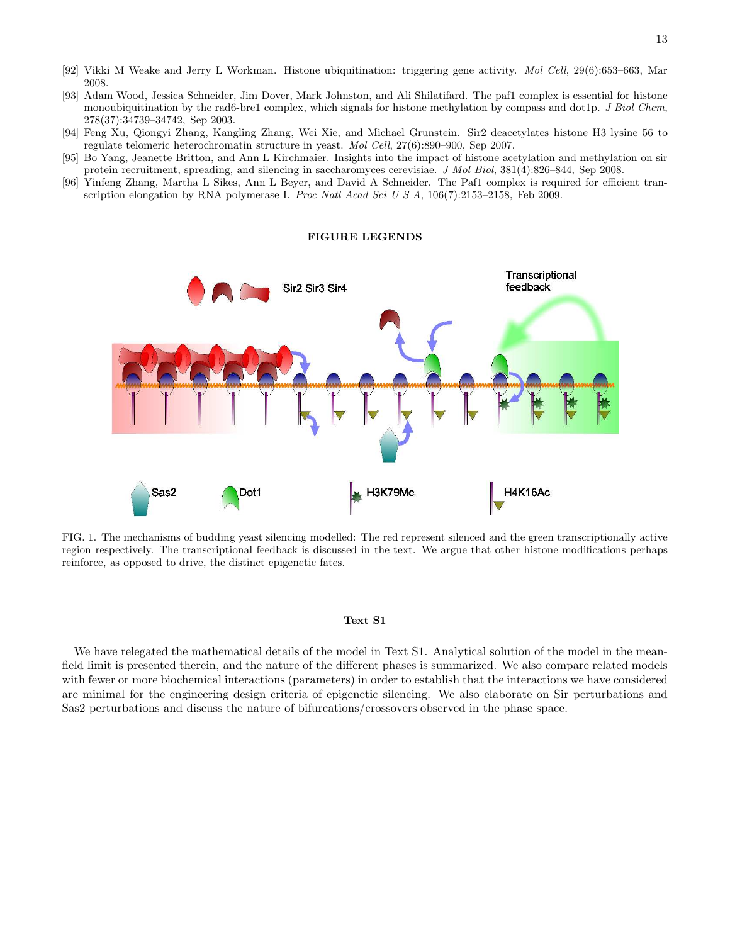- <span id="page-12-4"></span>[92] Vikki M Weake and Jerry L Workman. Histone ubiquitination: triggering gene activity. Mol Cell, 29(6):653–663, Mar 2008.
- <span id="page-12-1"></span>[93] Adam Wood, Jessica Schneider, Jim Dover, Mark Johnston, and Ali Shilatifard. The paf1 complex is essential for histone monoubiquitination by the rad6-bre1 complex, which signals for histone methylation by compass and dot1p. *J Biol Chem*, 278(37):34739–34742, Sep 2003.
- <span id="page-12-0"></span>[94] Feng Xu, Qiongyi Zhang, Kangling Zhang, Wei Xie, and Michael Grunstein. Sir2 deacetylates histone H3 lysine 56 to regulate telomeric heterochromatin structure in yeast. Mol Cell, 27(6):890–900, Sep 2007.
- <span id="page-12-3"></span>[95] Bo Yang, Jeanette Britton, and Ann L Kirchmaier. Insights into the impact of histone acetylation and methylation on sir protein recruitment, spreading, and silencing in saccharomyces cerevisiae. J Mol Biol, 381(4):826–844, Sep 2008.
- <span id="page-12-2"></span>[96] Yinfeng Zhang, Martha L Sikes, Ann L Beyer, and David A Schneider. The Paf1 complex is required for efficient transcription elongation by RNA polymerase I. Proc Natl Acad Sci U S  $A$ , 106(7):2153–2158, Feb 2009.



<span id="page-12-5"></span>FIG. 1. The mechanisms of budding yeast silencing modelled: The red represent silenced and the green transcriptionally active region respectively. The transcriptional feedback is discussed in the text. We argue that other histone modifications perhaps reinforce, as opposed to drive, the distinct epigenetic fates.

#### Text S1

We have relegated the mathematical details of the model in Text S1. Analytical solution of the model in the meanfield limit is presented therein, and the nature of the different phases is summarized. We also compare related models with fewer or more biochemical interactions (parameters) in order to establish that the interactions we have considered are minimal for the engineering design criteria of epigenetic silencing. We also elaborate on Sir perturbations and Sas2 perturbations and discuss the nature of bifurcations/crossovers observed in the phase space.

#### FIGURE LEGENDS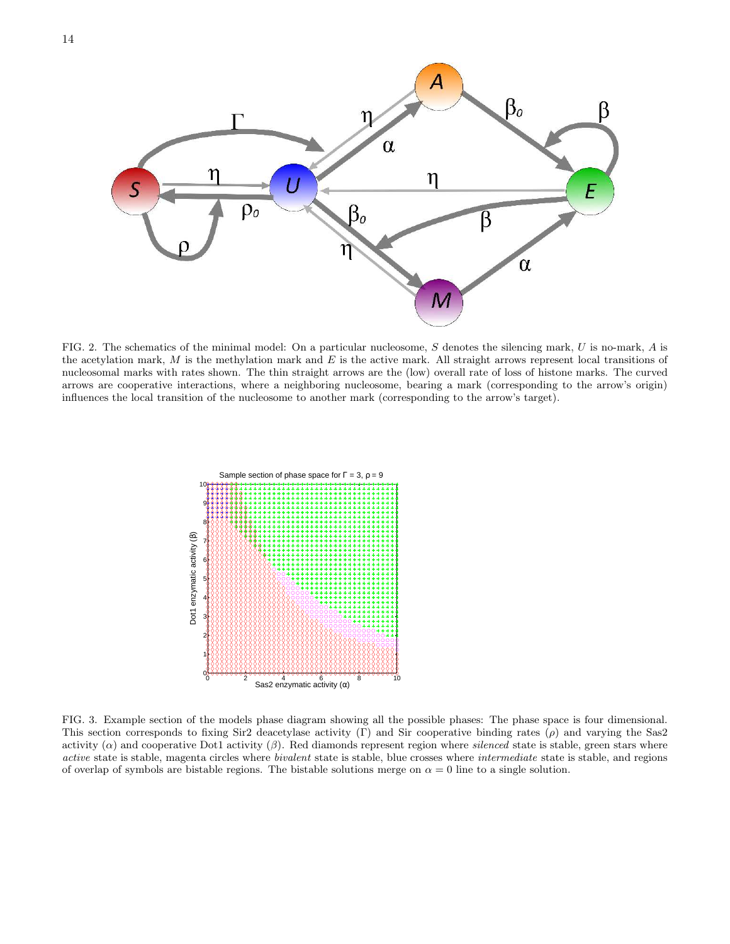

<span id="page-13-0"></span>FIG. 2. The schematics of the minimal model: On a particular nucleosome, S denotes the silencing mark, U is no-mark, A is the acetylation mark,  $M$  is the methylation mark and  $E$  is the active mark. All straight arrows represent local transitions of nucleosomal marks with rates shown. The thin straight arrows are the (low) overall rate of loss of histone marks. The curved arrows are cooperative interactions, where a neighboring nucleosome, bearing a mark (corresponding to the arrow's origin) influences the local transition of the nucleosome to another mark (corresponding to the arrow's target).



<span id="page-13-1"></span>FIG. 3. Example section of the models phase diagram showing all the possible phases: The phase space is four dimensional. This section corresponds to fixing Sir2 deacetylase activity  $(\Gamma)$  and Sir cooperative binding rates  $(\rho)$  and varying the Sas2 activity  $(\alpha)$  and cooperative Dot1 activity  $(\beta)$ . Red diamonds represent region where silenced state is stable, green stars where active state is stable, magenta circles where bivalent state is stable, blue crosses where intermediate state is stable, and regions of overlap of symbols are bistable regions. The bistable solutions merge on  $\alpha = 0$  line to a single solution.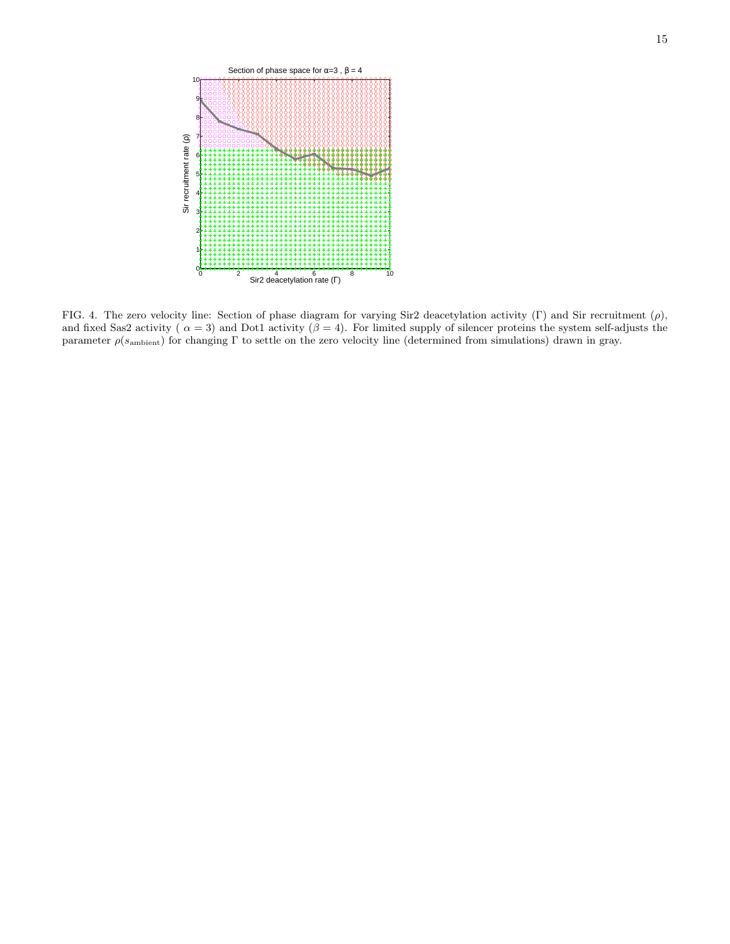

<span id="page-14-0"></span>FIG. 4. The zero velocity line: Section of phase diagram for varying Sir2 deacetylation activity (Γ) and Sir recruitment  $(\rho)$ , and fixed Sas2 activity ( $\alpha = 3$ ) and Dot1 activity ( $\beta = 4$ ). For limited supply of silencer proteins the system self-adjusts the parameter  $\rho(s_{\rm ambient})$  for changing  $\Gamma$  to settle on the zero velocity line (determined from simulations) drawn in gray.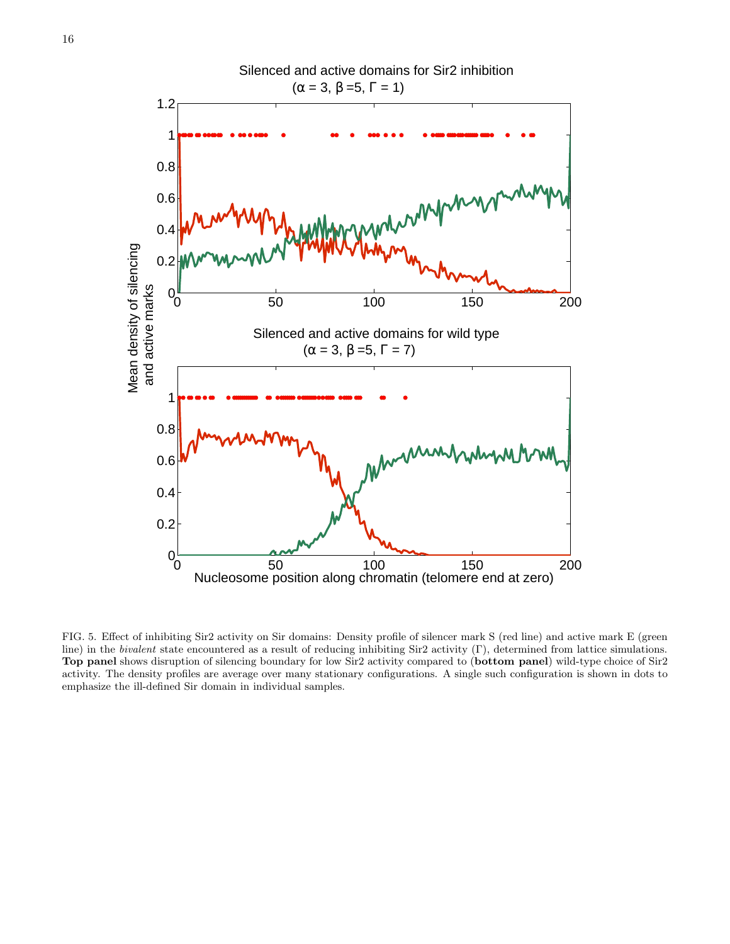

<span id="page-15-0"></span>FIG. 5. Effect of inhibiting Sir2 activity on Sir domains: Density profile of silencer mark S (red line) and active mark E (green line) in the bivalent state encountered as a result of reducing inhibiting Sir2 activity (Γ), determined from lattice simulations. Top panel shows disruption of silencing boundary for low Sir2 activity compared to (bottom panel) wild-type choice of Sir2 activity. The density profiles are average over many stationary configurations. A single such configuration is shown in dots to emphasize the ill-defined Sir domain in individual samples.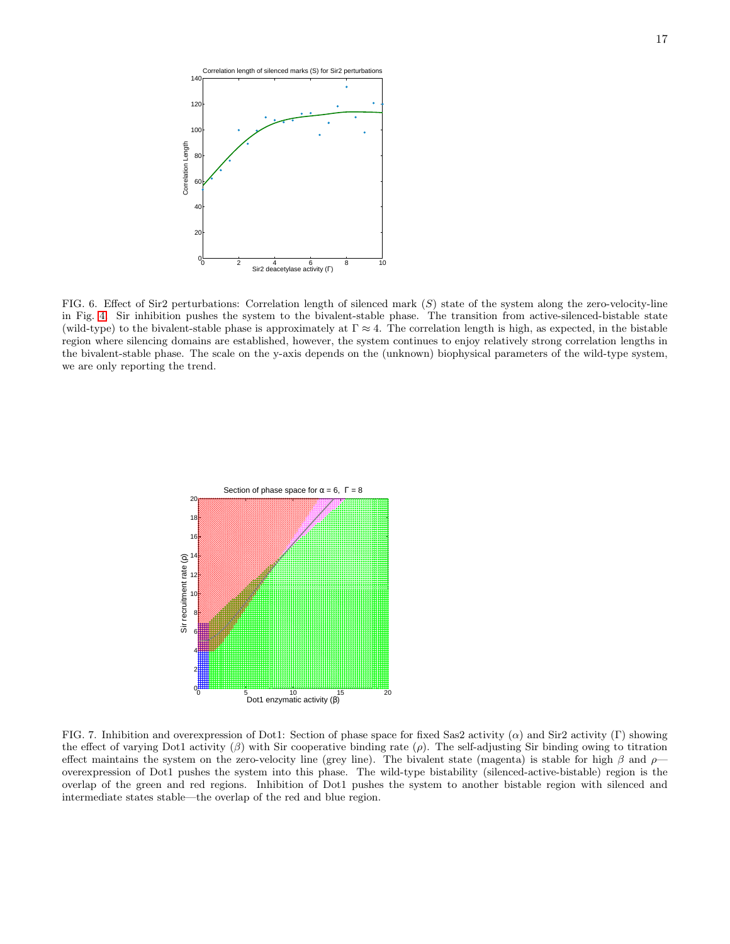

<span id="page-16-0"></span>FIG. 6. Effect of Sir2 perturbations: Correlation length of silenced mark (S) state of the system along the zero-velocity-line in Fig. [4.](#page-14-0) Sir inhibition pushes the system to the bivalent-stable phase. The transition from active-silenced-bistable state (wild-type) to the bivalent-stable phase is approximately at  $\Gamma \approx 4$ . The correlation length is high, as expected, in the bistable region where silencing domains are established, however, the system continues to enjoy relatively strong correlation lengths in the bivalent-stable phase. The scale on the y-axis depends on the (unknown) biophysical parameters of the wild-type system, we are only reporting the trend.



<span id="page-16-1"></span>FIG. 7. Inhibition and overexpression of Dot1: Section of phase space for fixed Sas2 activity (α) and Sir2 activity (Γ) showing the effect of varying Dot1 activity  $(\beta)$  with Sir cooperative binding rate  $(\rho)$ . The self-adjusting Sir binding owing to titration effect maintains the system on the zero-velocity line (grey line). The bivalent state (magenta) is stable for high  $\beta$  and  $\rho$  overexpression of Dot1 pushes the system into this phase. The wild-type bistability (silenced-active-bistable) region is the overlap of the green and red regions. Inhibition of Dot1 pushes the system to another bistable region with silenced and intermediate states stable—the overlap of the red and blue region.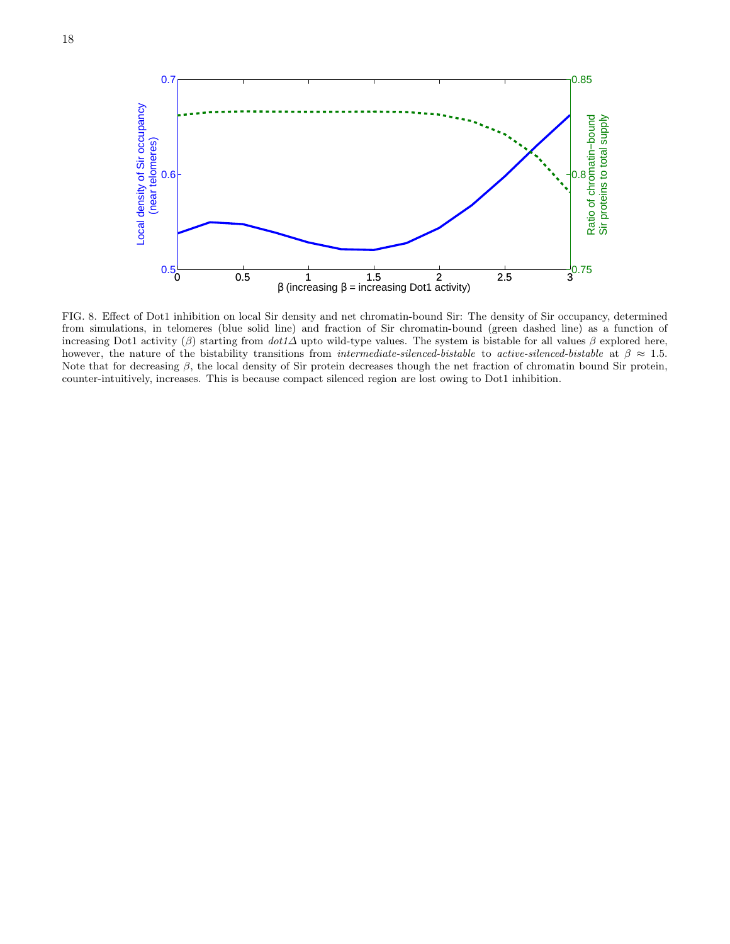

<span id="page-17-0"></span>FIG. 8. Effect of Dot1 inhibition on local Sir density and net chromatin-bound Sir: The density of Sir occupancy, determined from simulations, in telomeres (blue solid line) and fraction of Sir chromatin-bound (green dashed line) as a function of increasing Dot1 activity (β) starting from  $dot\Delta$  upto wild-type values. The system is bistable for all values β explored here, however, the nature of the bistability transitions from *intermediate-silenced-bistable* to *active-silenced-bistable* at  $\beta \approx 1.5$ . Note that for decreasing  $\beta$ , the local density of Sir protein decreases though the net fraction of chromatin bound Sir protein, counter-intuitively, increases. This is because compact silenced region are lost owing to Dot1 inhibition.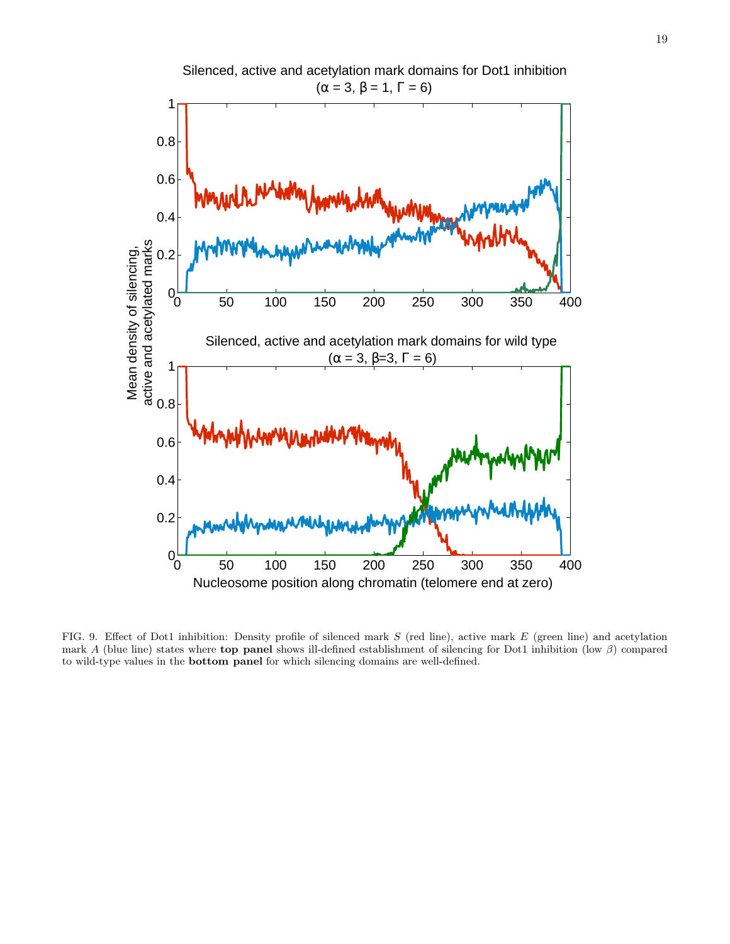

<span id="page-18-0"></span>FIG. 9. Effect of Dot1 inhibition: Density profile of silenced mark  $S$  (red line), active mark  $E$  (green line) and acetylation mark A (blue line) states where top panel shows ill-defined establishment of silencing for Dot1 inhibition (low  $\beta$ ) compared to wild-type values in the bottom panel for which silencing domains are well-defined.